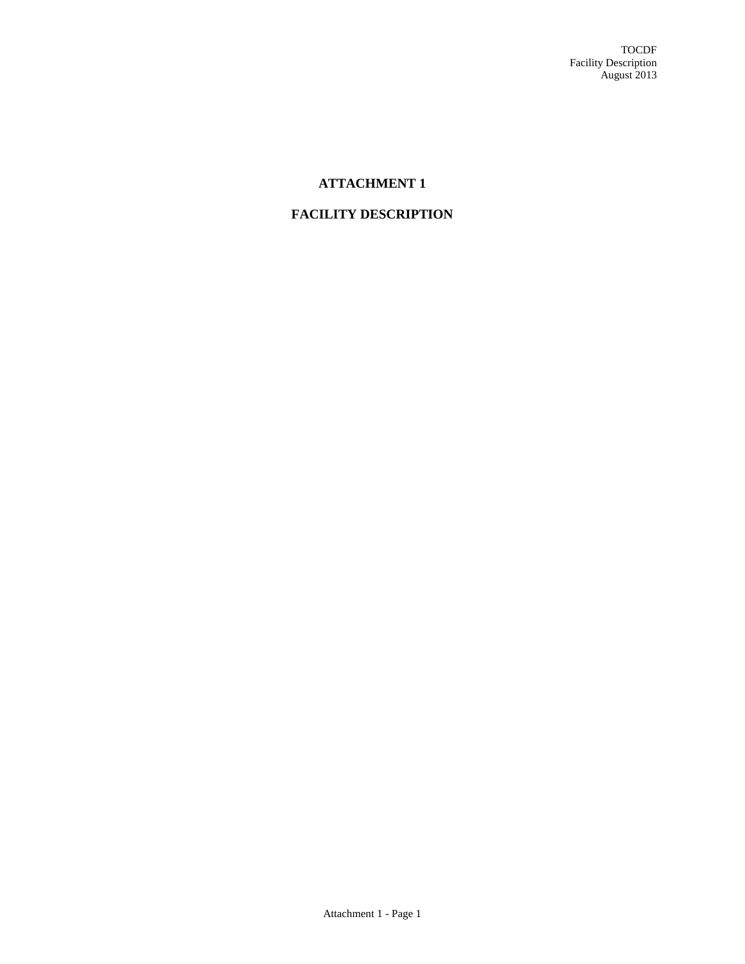# **ATTACHMENT 1**

## **FACILITY DESCRIPTION**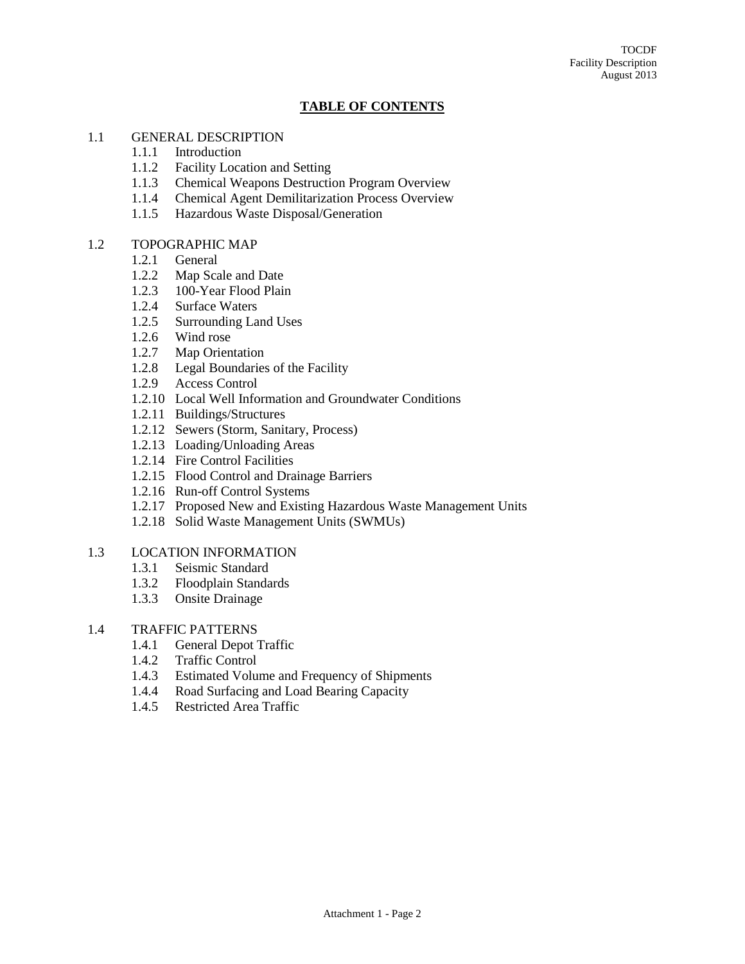#### **TABLE OF CONTENTS**

#### 1.1 GENERAL DESCRIPTION

- 1.1.1 Introduction
- 1.1.2 Facility Location and Setting
- 1.1.3 Chemical Weapons Destruction Program Overview
- 1.1.4 Chemical Agent Demilitarization Process Overview
- 1.1.5 Hazardous Waste Disposal/Generation

#### 1.2 TOPOGRAPHIC MAP

- 1.2.1 General
- 1.2.2 Map Scale and Date
- 1.2.3 100-Year Flood Plain
- 1.2.4 Surface Waters
- 1.2.5 Surrounding Land Uses
- 1.2.6 Wind rose
- 1.2.7 Map Orientation
- 1.2.8 Legal Boundaries of the Facility
- 1.2.9 Access Control
- 1.2.10 Local Well Information and Groundwater Conditions
- 1.2.11 Buildings/Structures
- 1.2.12 Sewers (Storm, Sanitary, Process)
- 1.2.13 Loading/Unloading Areas
- 1.2.14 Fire Control Facilities
- 1.2.15 Flood Control and Drainage Barriers
- 1.2.16 Run-off Control Systems
- 1.2.17 Proposed New and Existing Hazardous Waste Management Units
- 1.2.18 Solid Waste Management Units (SWMUs)

#### 1.3 LOCATION INFORMATION

- 1.3.1 Seismic Standard
- 1.3.2 Floodplain Standards
- 1.3.3 Onsite Drainage

#### 1.4 TRAFFIC PATTERNS

- 1.4.1 General Depot Traffic
- 1.4.2 Traffic Control
- 1.4.3 Estimated Volume and Frequency of Shipments
- 1.4.4 Road Surfacing and Load Bearing Capacity
- 1.4.5 Restricted Area Traffic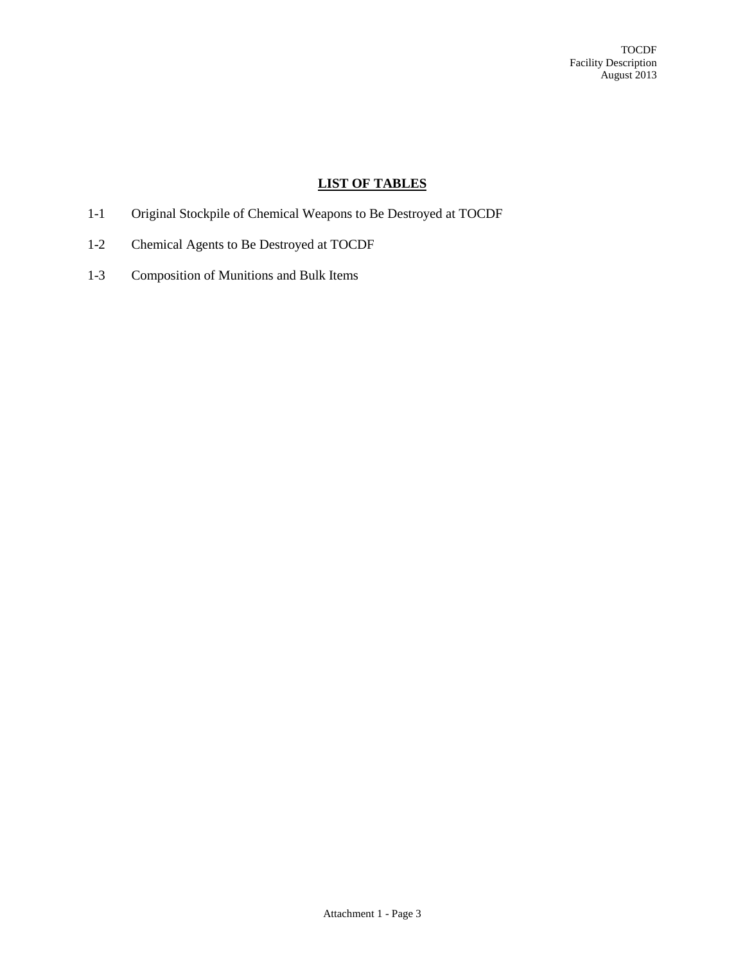## **LIST OF TABLES**

- 1-1 Original Stockpile of Chemical Weapons to Be Destroyed at TOCDF
- 1-2 Chemical Agents to Be Destroyed at TOCDF
- 1-3 Composition of Munitions and Bulk Items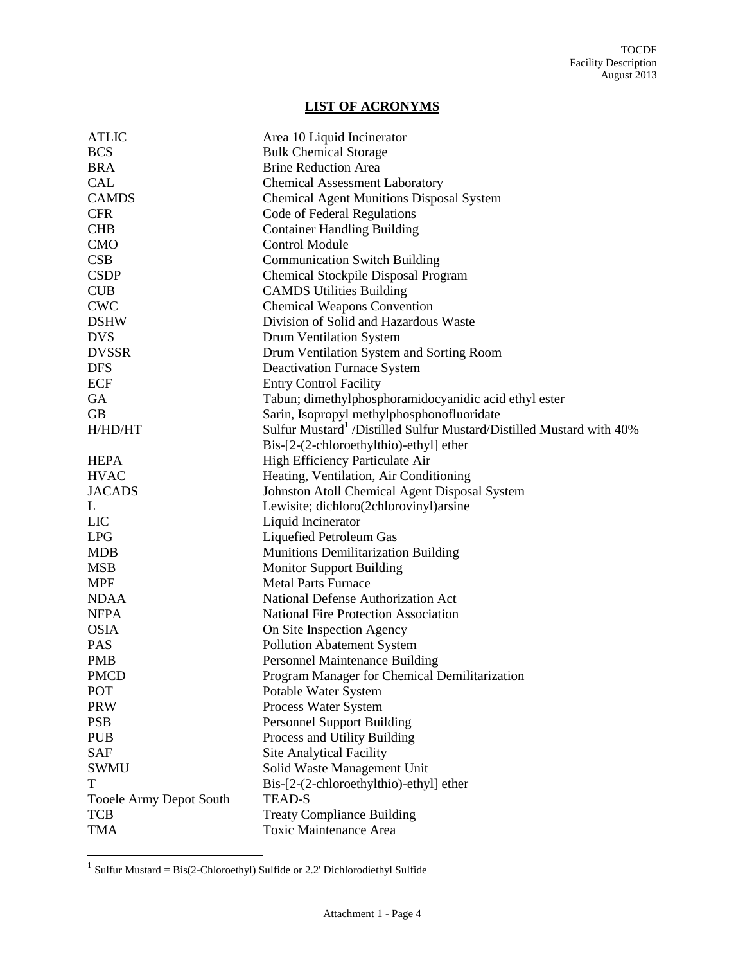## **LIST OF ACRONYMS**

| <b>ATLIC</b>                   | Area 10 Liquid Incinerator                                                       |
|--------------------------------|----------------------------------------------------------------------------------|
| <b>BCS</b>                     | <b>Bulk Chemical Storage</b>                                                     |
| <b>BRA</b>                     | <b>Brine Reduction Area</b>                                                      |
| <b>CAL</b>                     | <b>Chemical Assessment Laboratory</b>                                            |
| <b>CAMDS</b>                   | <b>Chemical Agent Munitions Disposal System</b>                                  |
| <b>CFR</b>                     | Code of Federal Regulations                                                      |
| <b>CHB</b>                     | <b>Container Handling Building</b>                                               |
| <b>CMO</b>                     | <b>Control Module</b>                                                            |
| CSB                            | <b>Communication Switch Building</b>                                             |
| <b>CSDP</b>                    | Chemical Stockpile Disposal Program                                              |
| <b>CUB</b>                     | <b>CAMDS Utilities Building</b>                                                  |
| <b>CWC</b>                     | <b>Chemical Weapons Convention</b>                                               |
| <b>DSHW</b>                    | Division of Solid and Hazardous Waste                                            |
| <b>DVS</b>                     | <b>Drum Ventilation System</b>                                                   |
| <b>DVSSR</b>                   | Drum Ventilation System and Sorting Room                                         |
| <b>DFS</b>                     | <b>Deactivation Furnace System</b>                                               |
| ECF                            | <b>Entry Control Facility</b>                                                    |
| GA                             | Tabun; dimethylphosphoramidocyanidic acid ethyl ester                            |
| <b>GB</b>                      | Sarin, Isopropyl methylphosphonofluoridate                                       |
| H/HD/HT                        | Sulfur Mustard <sup>1</sup> /Distilled Sulfur Mustard/Distilled Mustard with 40% |
|                                | Bis-[2-(2-chloroethylthio)-ethyl] ether                                          |
| <b>HEPA</b>                    | High Efficiency Particulate Air                                                  |
| <b>HVAC</b>                    | Heating, Ventilation, Air Conditioning                                           |
| <b>JACADS</b>                  | Johnston Atoll Chemical Agent Disposal System                                    |
| L                              | Lewisite; dichloro(2chlorovinyl)arsine                                           |
| <b>LIC</b>                     | Liquid Incinerator                                                               |
| <b>LPG</b>                     | Liquefied Petroleum Gas                                                          |
| <b>MDB</b>                     | <b>Munitions Demilitarization Building</b>                                       |
| <b>MSB</b>                     | <b>Monitor Support Building</b>                                                  |
| <b>MPF</b>                     | <b>Metal Parts Furnace</b>                                                       |
| <b>NDAA</b>                    | National Defense Authorization Act                                               |
| <b>NFPA</b>                    | <b>National Fire Protection Association</b>                                      |
| <b>OSIA</b>                    | On Site Inspection Agency                                                        |
| <b>PAS</b>                     | <b>Pollution Abatement System</b>                                                |
| <b>PMB</b>                     | <b>Personnel Maintenance Building</b>                                            |
| <b>PMCD</b>                    | Program Manager for Chemical Demilitarization                                    |
| POT                            | Potable Water System                                                             |
| <b>PRW</b>                     | Process Water System                                                             |
| <b>PSB</b>                     | <b>Personnel Support Building</b>                                                |
| <b>PUB</b>                     | Process and Utility Building                                                     |
| <b>SAF</b>                     | <b>Site Analytical Facility</b>                                                  |
| SWMU                           | Solid Waste Management Unit                                                      |
| T                              | Bis-[2-(2-chloroethylthio)-ethyl] ether                                          |
| <b>Tooele Army Depot South</b> | <b>TEAD-S</b>                                                                    |
| <b>TCB</b>                     | <b>Treaty Compliance Building</b>                                                |
| <b>TMA</b>                     | <b>Toxic Maintenance Area</b>                                                    |

1 Sulfur Mustard = Bis(2-Chloroethyl) Sulfide or 2.2' Dichlorodiethyl Sulfide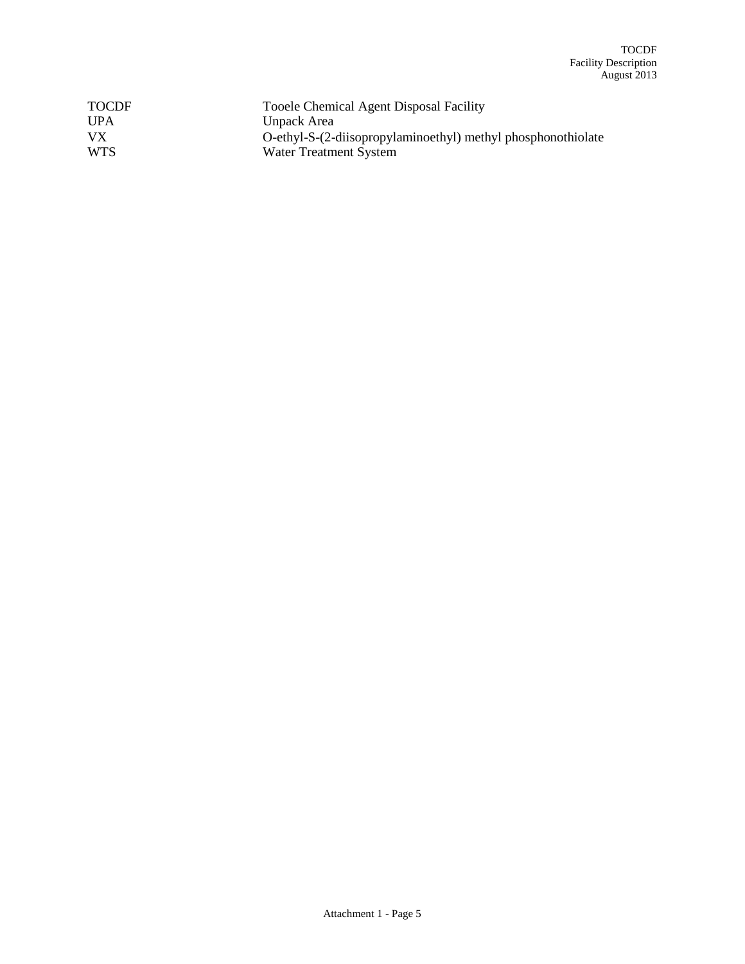| <b>TOCDF</b> | Tooele Chemical Agent Disposal Facility                      |
|--------------|--------------------------------------------------------------|
| <b>UPA</b>   | Unpack Area                                                  |
| VX.          | O-ethyl-S-(2-diisopropylaminoethyl) methyl phosphonothiolate |
| <b>WTS</b>   | Water Treatment System                                       |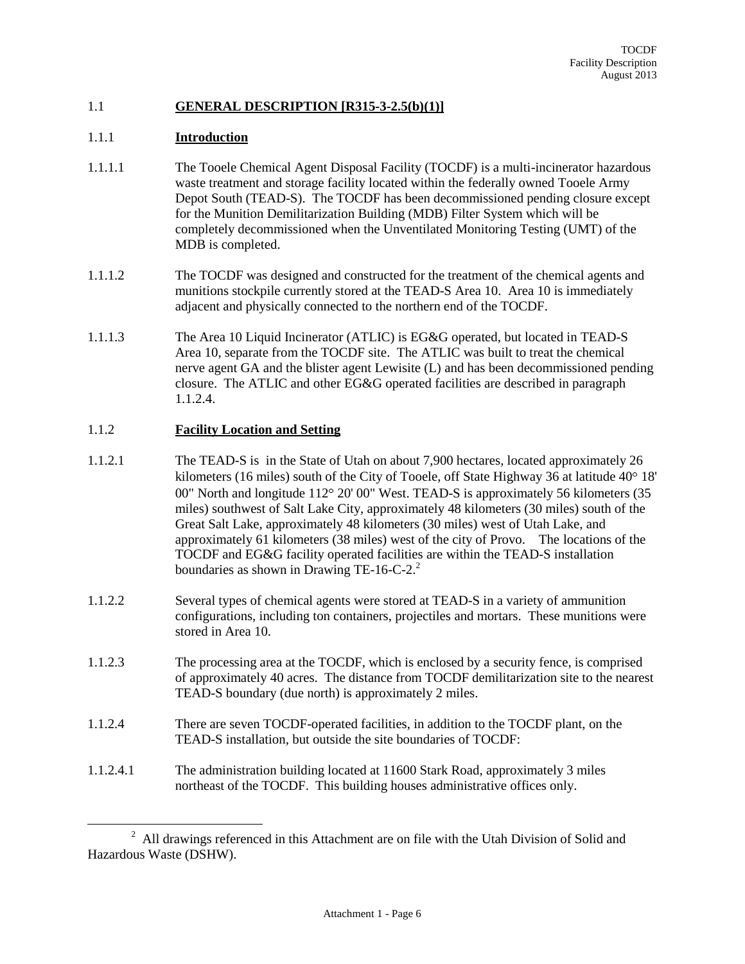## 1.1 **GENERAL DESCRIPTION [R315-3-2.5(b)(1)]**

#### 1.1.1 **Introduction**

- 1.1.1.1 The Tooele Chemical Agent Disposal Facility (TOCDF) is a multi-incinerator hazardous waste treatment and storage facility located within the federally owned Tooele Army Depot South (TEAD-S). The TOCDF has been decommissioned pending closure except for the Munition Demilitarization Building (MDB) Filter System which will be completely decommissioned when the Unventilated Monitoring Testing (UMT) of the MDB is completed.
- 1.1.1.2 The TOCDF was designed and constructed for the treatment of the chemical agents and munitions stockpile currently stored at the TEAD-S Area 10. Area 10 is immediately adjacent and physically connected to the northern end of the TOCDF.
- 1.1.1.3 The Area 10 Liquid Incinerator (ATLIC) is EG&G operated, but located in TEAD-S Area 10, separate from the TOCDF site. The ATLIC was built to treat the chemical nerve agent GA and the blister agent Lewisite (L) and has been decommissioned pending closure. The ATLIC and other EG&G operated facilities are described in paragraph 1.1.2.4.

## 1.1.2 **Facility Location and Setting**

- 1.1.2.1 The TEAD-S is in the State of Utah on about 7,900 hectares, located approximately 26 kilometers (16 miles) south of the City of Tooele, off State Highway 36 at latitude  $40^{\circ}$  18' 00" North and longitude  $112^{\circ}$  20' 00" West. TEAD-S is approximately 56 kilometers (35) miles) southwest of Salt Lake City, approximately 48 kilometers (30 miles) south of the Great Salt Lake, approximately 48 kilometers (30 miles) west of Utah Lake, and approximately 61 kilometers (38 miles) west of the city of Provo. The locations of the TOCDF and EG&G facility operated facilities are within the TEAD-S installation boundaries as shown in Drawing TE-16-C-2. $^2$
- 1.1.2.2 Several types of chemical agents were stored at TEAD-S in a variety of ammunition configurations, including ton containers, projectiles and mortars. These munitions were stored in Area 10.
- 1.1.2.3 The processing area at the TOCDF, which is enclosed by a security fence, is comprised of approximately 40 acres. The distance from TOCDF demilitarization site to the nearest TEAD-S boundary (due north) is approximately 2 miles.
- 1.1.2.4 There are seven TOCDF-operated facilities, in addition to the TOCDF plant, on the TEAD-S installation, but outside the site boundaries of TOCDF:
- 1.1.2.4.1 The administration building located at 11600 Stark Road, approximately 3 miles northeast of the TOCDF. This building houses administrative offices only.

<sup>&</sup>lt;sup>2</sup> All drawings referenced in this Attachment are on file with the Utah Division of Solid and Hazardous Waste (DSHW).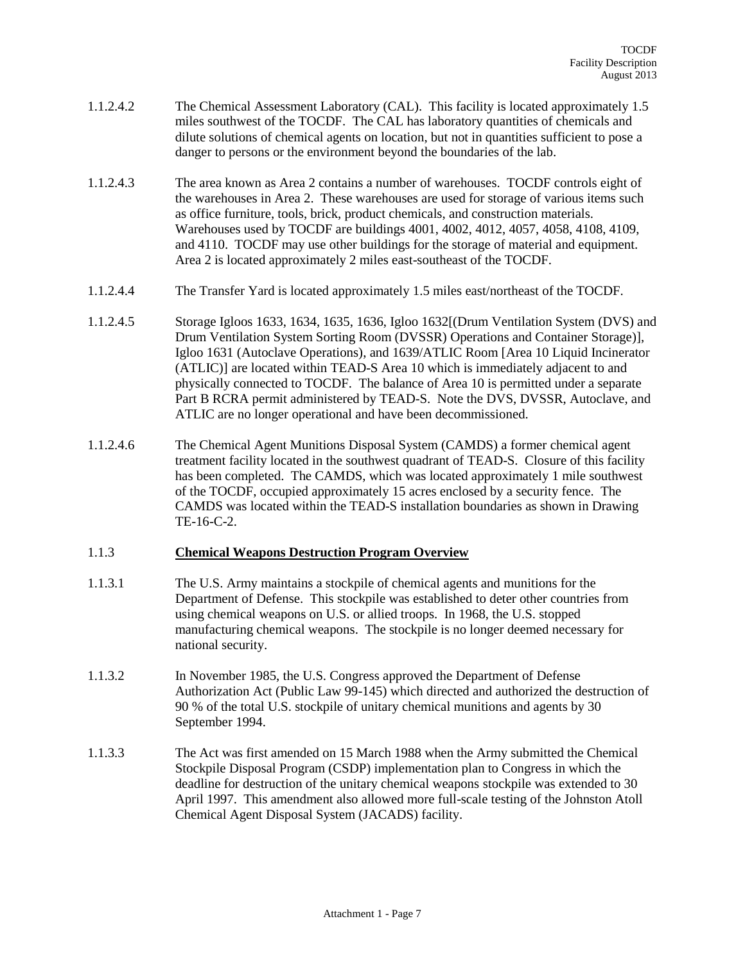- 1.1.2.4.2 The Chemical Assessment Laboratory (CAL). This facility is located approximately 1.5 miles southwest of the TOCDF. The CAL has laboratory quantities of chemicals and dilute solutions of chemical agents on location, but not in quantities sufficient to pose a danger to persons or the environment beyond the boundaries of the lab.
- 1.1.2.4.3 The area known as Area 2 contains a number of warehouses. TOCDF controls eight of the warehouses in Area 2. These warehouses are used for storage of various items such as office furniture, tools, brick, product chemicals, and construction materials. Warehouses used by TOCDF are buildings 4001, 4002, 4012, 4057, 4058, 4108, 4109, and 4110. TOCDF may use other buildings for the storage of material and equipment. Area 2 is located approximately 2 miles east-southeast of the TOCDF.
- 1.1.2.4.4 The Transfer Yard is located approximately 1.5 miles east/northeast of the TOCDF.
- 1.1.2.4.5 Storage Igloos 1633, 1634, 1635, 1636, Igloo 1632[(Drum Ventilation System (DVS) and Drum Ventilation System Sorting Room (DVSSR) Operations and Container Storage)], Igloo 1631 (Autoclave Operations), and 1639/ATLIC Room [Area 10 Liquid Incinerator (ATLIC)] are located within TEAD-S Area 10 which is immediately adjacent to and physically connected to TOCDF. The balance of Area 10 is permitted under a separate Part B RCRA permit administered by TEAD-S. Note the DVS, DVSSR, Autoclave, and ATLIC are no longer operational and have been decommissioned.
- 1.1.2.4.6 The Chemical Agent Munitions Disposal System (CAMDS) a former chemical agent treatment facility located in the southwest quadrant of TEAD-S. Closure of this facility has been completed. The CAMDS, which was located approximately 1 mile southwest of the TOCDF, occupied approximately 15 acres enclosed by a security fence. The CAMDS was located within the TEAD-S installation boundaries as shown in Drawing TE-16-C-2.

## 1.1.3 **Chemical Weapons Destruction Program Overview**

- 1.1.3.1 The U.S. Army maintains a stockpile of chemical agents and munitions for the Department of Defense. This stockpile was established to deter other countries from using chemical weapons on U.S. or allied troops. In 1968, the U.S. stopped manufacturing chemical weapons. The stockpile is no longer deemed necessary for national security.
- 1.1.3.2 In November 1985, the U.S. Congress approved the Department of Defense Authorization Act (Public Law 99-145) which directed and authorized the destruction of 90 % of the total U.S. stockpile of unitary chemical munitions and agents by 30 September 1994.
- 1.1.3.3 The Act was first amended on 15 March 1988 when the Army submitted the Chemical Stockpile Disposal Program (CSDP) implementation plan to Congress in which the deadline for destruction of the unitary chemical weapons stockpile was extended to 30 April 1997. This amendment also allowed more full-scale testing of the Johnston Atoll Chemical Agent Disposal System (JACADS) facility.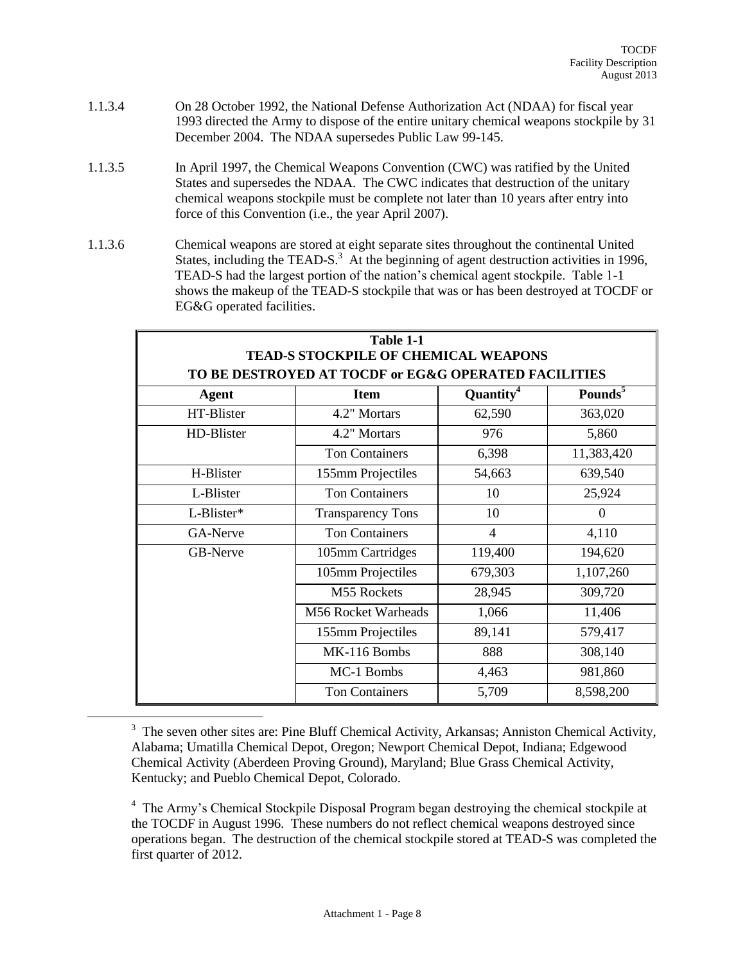- 1.1.3.4 On 28 October 1992, the National Defense Authorization Act (NDAA) for fiscal year 1993 directed the Army to dispose of the entire unitary chemical weapons stockpile by 31 December 2004. The NDAA supersedes Public Law 99-145.
- 1.1.3.5 In April 1997, the Chemical Weapons Convention (CWC) was ratified by the United States and supersedes the NDAA. The CWC indicates that destruction of the unitary chemical weapons stockpile must be complete not later than 10 years after entry into force of this Convention (i.e., the year April 2007).
- 1.1.3.6 Chemical weapons are stored at eight separate sites throughout the continental United States, including the TEAD-S. $<sup>3</sup>$  At the beginning of agent destruction activities in 1996,</sup> TEAD-S had the largest portion of the nation's chemical agent stockpile. Table 1-1 shows the makeup of the TEAD-S stockpile that was or has been destroyed at TOCDF or EG&G operated facilities.

| Table 1-1<br>TEAD-S STOCKPILE OF CHEMICAL WEAPONS    |                          |                       |                     |  |
|------------------------------------------------------|--------------------------|-----------------------|---------------------|--|
| TO BE DESTROYED AT TOCDF or EG&G OPERATED FACILITIES |                          |                       |                     |  |
| Agent                                                | <b>Item</b>              | Quantity <sup>4</sup> | Pounds <sup>5</sup> |  |
| HT-Blister                                           | 4.2" Mortars             | 62,590                | 363,020             |  |
| HD-Blister                                           | 4.2" Mortars             | 976                   | 5,860               |  |
|                                                      | <b>Ton Containers</b>    | 6,398                 | 11,383,420          |  |
| H-Blister                                            | 155mm Projectiles        | 54,663                | 639,540             |  |
| L-Blister                                            | <b>Ton Containers</b>    | 10                    | 25,924              |  |
| L-Blister*                                           | <b>Transparency Tons</b> | 10                    | $\Omega$            |  |
| GA-Nerve                                             | <b>Ton Containers</b>    | $\overline{4}$        | 4,110               |  |
| <b>GB-Nerve</b>                                      | 105mm Cartridges         | 119,400               | 194,620             |  |
|                                                      | 105mm Projectiles        | 679,303               | 1,107,260           |  |
|                                                      | M55 Rockets              | 28,945                | 309,720             |  |
|                                                      | M56 Rocket Warheads      | 1,066                 | 11,406              |  |
|                                                      | 155mm Projectiles        | 89,141                | 579,417             |  |
|                                                      | MK-116 Bombs             | 888                   | 308,140             |  |
|                                                      | MC-1 Bombs               | 4,463                 | 981,860             |  |
|                                                      | <b>Ton Containers</b>    | 5,709                 | 8,598,200           |  |

<sup>&</sup>lt;sup>3</sup> The seven other sites are: Pine Bluff Chemical Activity, Arkansas; Anniston Chemical Activity, Alabama; Umatilla Chemical Depot, Oregon; Newport Chemical Depot, Indiana; Edgewood Chemical Activity (Aberdeen Proving Ground), Maryland; Blue Grass Chemical Activity, Kentucky; and Pueblo Chemical Depot, Colorado.

 $\overline{a}$ 

<sup>4</sup> The Army's Chemical Stockpile Disposal Program began destroying the chemical stockpile at the TOCDF in August 1996. These numbers do not reflect chemical weapons destroyed since operations began. The destruction of the chemical stockpile stored at TEAD-S was completed the first quarter of 2012.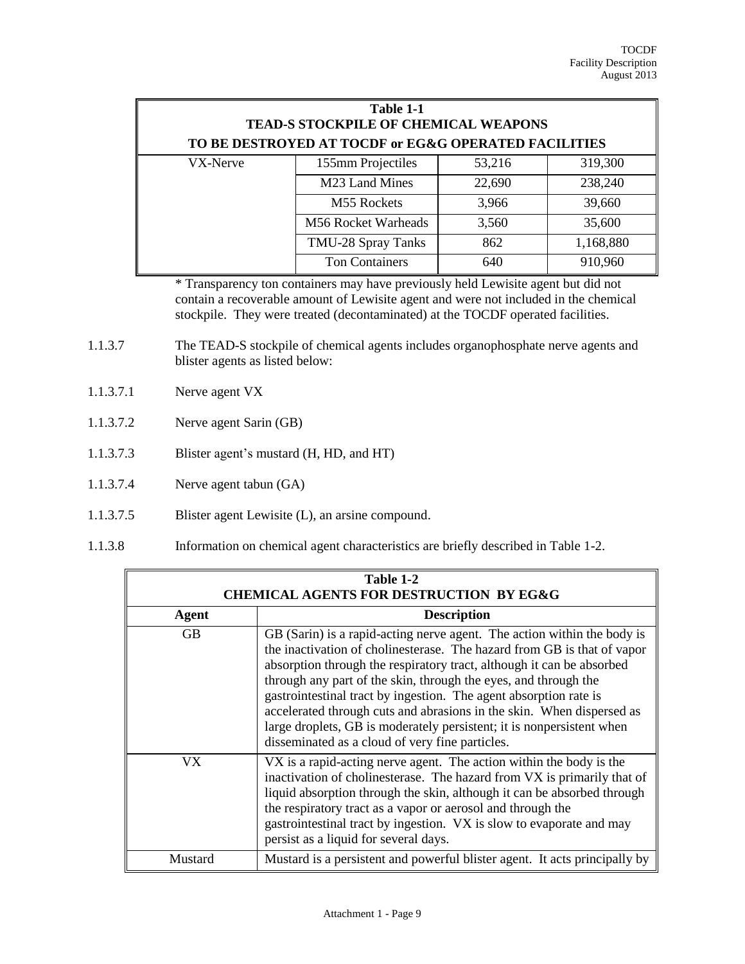| Table 1-1<br><b>TEAD-S STOCKPILE OF CHEMICAL WEAPONS</b><br>TO BE DESTROYED AT TOCDF or EG&G OPERATED FACILITIES |                            |        |           |
|------------------------------------------------------------------------------------------------------------------|----------------------------|--------|-----------|
| VX-Nerve                                                                                                         | 155mm Projectiles          | 53,216 | 319,300   |
|                                                                                                                  | M23 Land Mines             | 22,690 | 238,240   |
|                                                                                                                  | M55 Rockets                | 3,966  | 39,660    |
|                                                                                                                  | <b>M56 Rocket Warheads</b> | 3,560  | 35,600    |
|                                                                                                                  | TMU-28 Spray Tanks         | 862    | 1,168,880 |
|                                                                                                                  | <b>Ton Containers</b>      | 640    | 910,960   |

\* Transparency ton containers may have previously held Lewisite agent but did not contain a recoverable amount of Lewisite agent and were not included in the chemical stockpile. They were treated (decontaminated) at the TOCDF operated facilities.

- 1.1.3.7 The TEAD-S stockpile of chemical agents includes organophosphate nerve agents and blister agents as listed below:
- 1.1.3.7.1 Nerve agent VX
- 1.1.3.7.2 Nerve agent Sarin (GB)
- 1.1.3.7.3 Blister agent's mustard (H, HD, and HT)
- 1.1.3.7.4 Nerve agent tabun (GA)
- 1.1.3.7.5 Blister agent Lewisite (L), an arsine compound.
- 1.1.3.8 Information on chemical agent characteristics are briefly described in Table 1-2.

| Table 1-2<br><b>CHEMICAL AGENTS FOR DESTRUCTION BY EG&amp;G</b> |                                                                                                                                                                                                                                                                                                                                                                                                                                                                                                                                                                          |  |  |
|-----------------------------------------------------------------|--------------------------------------------------------------------------------------------------------------------------------------------------------------------------------------------------------------------------------------------------------------------------------------------------------------------------------------------------------------------------------------------------------------------------------------------------------------------------------------------------------------------------------------------------------------------------|--|--|
| Agent                                                           | <b>Description</b>                                                                                                                                                                                                                                                                                                                                                                                                                                                                                                                                                       |  |  |
| GB                                                              | GB (Sarin) is a rapid-acting nerve agent. The action within the body is<br>the inactivation of cholinesterase. The hazard from GB is that of vapor<br>absorption through the respiratory tract, although it can be absorbed<br>through any part of the skin, through the eyes, and through the<br>gastrointestinal tract by ingestion. The agent absorption rate is<br>accelerated through cuts and abrasions in the skin. When dispersed as<br>large droplets, GB is moderately persistent; it is nonpersistent when<br>disseminated as a cloud of very fine particles. |  |  |
| VX                                                              | VX is a rapid-acting nerve agent. The action within the body is the<br>inactivation of cholinesterase. The hazard from VX is primarily that of<br>liquid absorption through the skin, although it can be absorbed through<br>the respiratory tract as a vapor or aerosol and through the<br>gastrointestinal tract by ingestion. VX is slow to evaporate and may<br>persist as a liquid for several days.                                                                                                                                                                |  |  |
| Mustard                                                         | Mustard is a persistent and powerful blister agent. It acts principally by                                                                                                                                                                                                                                                                                                                                                                                                                                                                                               |  |  |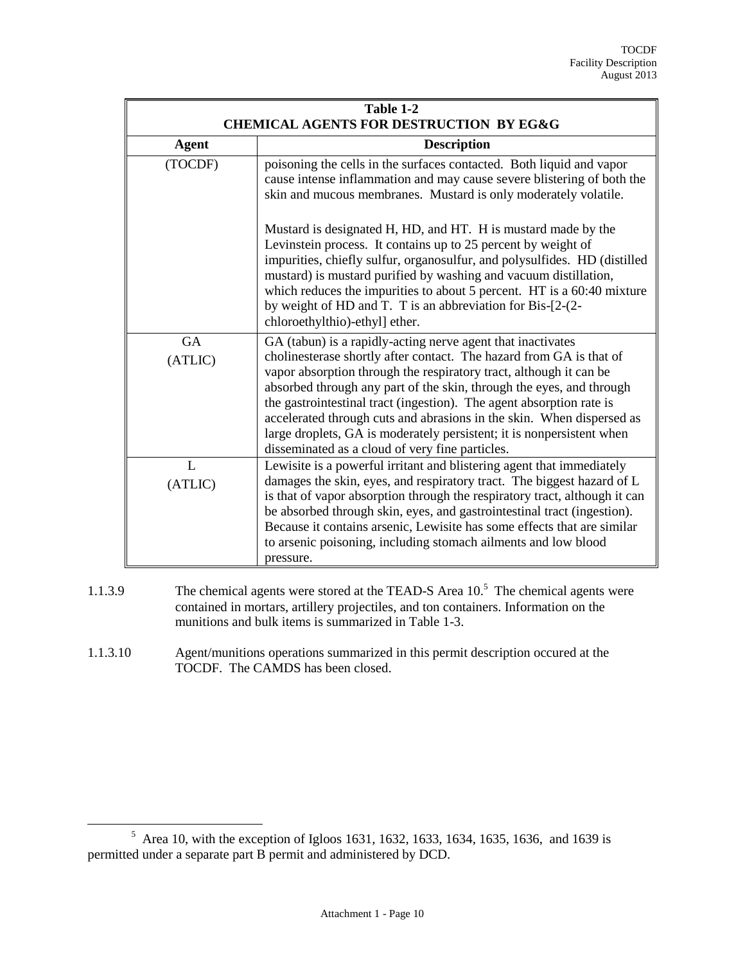| Table 1-2<br><b>CHEMICAL AGENTS FOR DESTRUCTION BY EG&amp;G</b> |                                                                                                                                                                                                                                                                                                                                                                                                                                                                                                                                                               |  |
|-----------------------------------------------------------------|---------------------------------------------------------------------------------------------------------------------------------------------------------------------------------------------------------------------------------------------------------------------------------------------------------------------------------------------------------------------------------------------------------------------------------------------------------------------------------------------------------------------------------------------------------------|--|
| <b>Agent</b>                                                    | <b>Description</b>                                                                                                                                                                                                                                                                                                                                                                                                                                                                                                                                            |  |
| (TOCDF)                                                         | poisoning the cells in the surfaces contacted. Both liquid and vapor<br>cause intense inflammation and may cause severe blistering of both the<br>skin and mucous membranes. Mustard is only moderately volatile.                                                                                                                                                                                                                                                                                                                                             |  |
|                                                                 | Mustard is designated H, HD, and HT. H is mustard made by the<br>Levinstein process. It contains up to 25 percent by weight of<br>impurities, chiefly sulfur, organosulfur, and polysulfides. HD (distilled<br>mustard) is mustard purified by washing and vacuum distillation,<br>which reduces the impurities to about 5 percent. HT is a 60:40 mixture<br>by weight of HD and T. T is an abbreviation for Bis-[2-(2-<br>chloroethylthio)-ethyl] ether.                                                                                                     |  |
| <b>GA</b><br>(ATLIC)                                            | GA (tabun) is a rapidly-acting nerve agent that inactivates<br>cholinesterase shortly after contact. The hazard from GA is that of<br>vapor absorption through the respiratory tract, although it can be<br>absorbed through any part of the skin, through the eyes, and through<br>the gastrointestinal tract (ingestion). The agent absorption rate is<br>accelerated through cuts and abrasions in the skin. When dispersed as<br>large droplets, GA is moderately persistent; it is nonpersistent when<br>disseminated as a cloud of very fine particles. |  |
| $\mathbf{I}$ .<br>(ATLIC)                                       | Lewisite is a powerful irritant and blistering agent that immediately<br>damages the skin, eyes, and respiratory tract. The biggest hazard of L<br>is that of vapor absorption through the respiratory tract, although it can<br>be absorbed through skin, eyes, and gastrointestinal tract (ingestion).<br>Because it contains arsenic, Lewisite has some effects that are similar<br>to arsenic poisoning, including stomach ailments and low blood<br>pressure.                                                                                            |  |

- 1.1.3.9 The chemical agents were stored at the TEAD-S Area 10.<sup>5</sup> The chemical agents were contained in mortars, artillery projectiles, and ton containers. Information on the munitions and bulk items is summarized in Table 1-3.
- 1.1.3.10 Agent/munitions operations summarized in this permit description occured at the TOCDF. The CAMDS has been closed.

<sup>&</sup>lt;sup>5</sup> Area 10, with the exception of Igloos 1631, 1632, 1633, 1634, 1635, 1636, and 1639 is permitted under a separate part B permit and administered by DCD.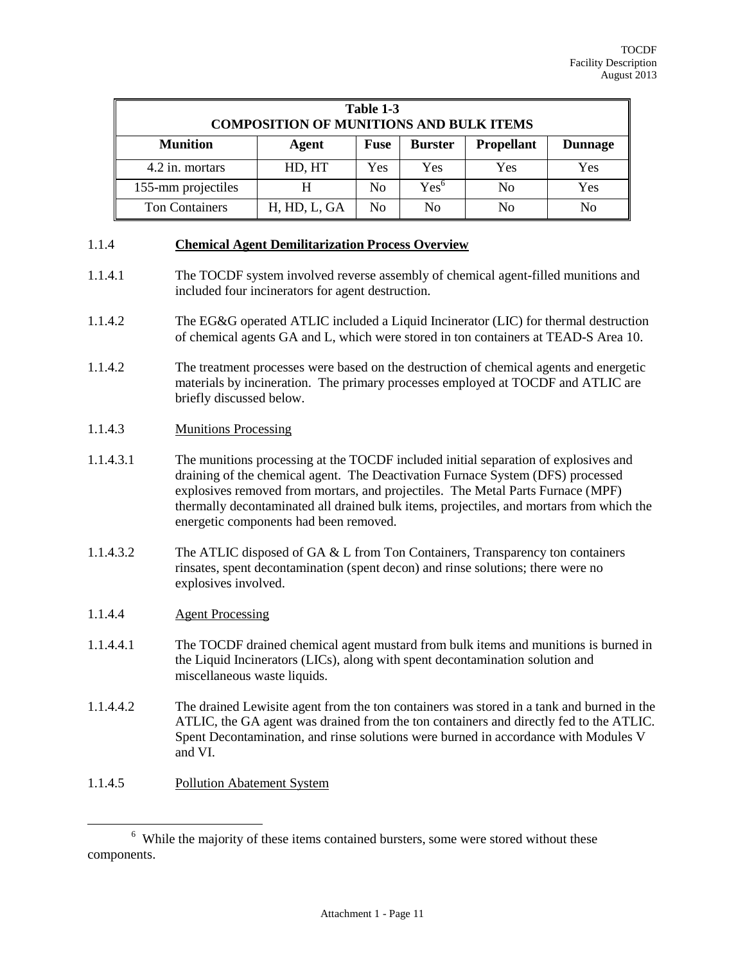| Table 1-3<br><b>COMPOSITION OF MUNITIONS AND BULK ITEMS</b> |              |                |                  |                   |                |
|-------------------------------------------------------------|--------------|----------------|------------------|-------------------|----------------|
| <b>Munition</b>                                             | Agent        | <b>Fuse</b>    | <b>Burster</b>   | <b>Propellant</b> | <b>Dunnage</b> |
| 4.2 in. mortars                                             | HD, HT       | Yes            | Yes              | Yes               | Yes            |
| 155-mm projectiles                                          | H            | N <sub>0</sub> | $\mathrm{Yes}^6$ | N <sub>0</sub>    | Yes            |
| <b>Ton Containers</b>                                       | H, HD, L, GA | N <sub>0</sub> | N <sub>0</sub>   | N <sub>0</sub>    | N <sub>0</sub> |

#### 1.1.4 **Chemical Agent Demilitarization Process Overview**

- 1.1.4.1 The TOCDF system involved reverse assembly of chemical agent-filled munitions and included four incinerators for agent destruction.
- 1.1.4.2 The EG&G operated ATLIC included a Liquid Incinerator (LIC) for thermal destruction of chemical agents GA and L, which were stored in ton containers at TEAD-S Area 10.
- 1.1.4.2 The treatment processes were based on the destruction of chemical agents and energetic materials by incineration. The primary processes employed at TOCDF and ATLIC are briefly discussed below.
- 1.1.4.3 Munitions Processing
- 1.1.4.3.1 The munitions processing at the TOCDF included initial separation of explosives and draining of the chemical agent. The Deactivation Furnace System (DFS) processed explosives removed from mortars, and projectiles. The Metal Parts Furnace (MPF) thermally decontaminated all drained bulk items, projectiles, and mortars from which the energetic components had been removed.
- 1.1.4.3.2 The ATLIC disposed of GA & L from Ton Containers, Transparency ton containers rinsates, spent decontamination (spent decon) and rinse solutions; there were no explosives involved.
- 1.1.4.4 Agent Processing
- 1.1.4.4.1 The TOCDF drained chemical agent mustard from bulk items and munitions is burned in the Liquid Incinerators (LICs), along with spent decontamination solution and miscellaneous waste liquids.
- 1.1.4.4.2 The drained Lewisite agent from the ton containers was stored in a tank and burned in the ATLIC, the GA agent was drained from the ton containers and directly fed to the ATLIC. Spent Decontamination, and rinse solutions were burned in accordance with Modules V and VI.
- 1.1.4.5 Pollution Abatement System

<sup>&</sup>lt;sup>6</sup> While the majority of these items contained bursters, some were stored without these components.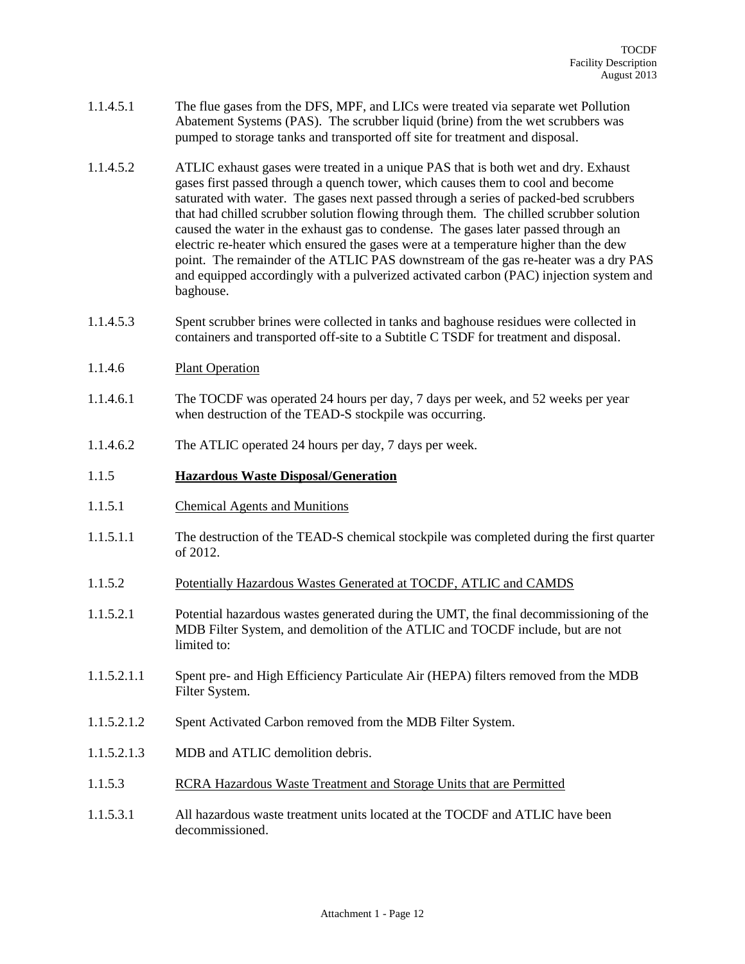- 1.1.4.5.1 The flue gases from the DFS, MPF, and LICs were treated via separate wet Pollution Abatement Systems (PAS). The scrubber liquid (brine) from the wet scrubbers was pumped to storage tanks and transported off site for treatment and disposal.
- 1.1.4.5.2 ATLIC exhaust gases were treated in a unique PAS that is both wet and dry. Exhaust gases first passed through a quench tower, which causes them to cool and become saturated with water. The gases next passed through a series of packed-bed scrubbers that had chilled scrubber solution flowing through them. The chilled scrubber solution caused the water in the exhaust gas to condense. The gases later passed through an electric re-heater which ensured the gases were at a temperature higher than the dew point. The remainder of the ATLIC PAS downstream of the gas re-heater was a dry PAS and equipped accordingly with a pulverized activated carbon (PAC) injection system and baghouse.
- 1.1.4.5.3 Spent scrubber brines were collected in tanks and baghouse residues were collected in containers and transported off-site to a Subtitle C TSDF for treatment and disposal.
- 1.1.4.6 Plant Operation
- 1.1.4.6.1 The TOCDF was operated 24 hours per day, 7 days per week, and 52 weeks per year when destruction of the TEAD-S stockpile was occurring.
- 1.1.4.6.2 The ATLIC operated 24 hours per day, 7 days per week.

## 1.1.5 **Hazardous Waste Disposal/Generation**

- 1.1.5.1 Chemical Agents and Munitions
- 1.1.5.1.1 The destruction of the TEAD-S chemical stockpile was completed during the first quarter of 2012.
- 1.1.5.2 Potentially Hazardous Wastes Generated at TOCDF, ATLIC and CAMDS
- 1.1.5.2.1 Potential hazardous wastes generated during the UMT, the final decommissioning of the MDB Filter System, and demolition of the ATLIC and TOCDF include, but are not limited to:
- 1.1.5.2.1.1 Spent pre- and High Efficiency Particulate Air (HEPA) filters removed from the MDB Filter System.
- 1.1.5.2.1.2 Spent Activated Carbon removed from the MDB Filter System.
- 1.1.5.2.1.3 MDB and ATLIC demolition debris.
- 1.1.5.3 RCRA Hazardous Waste Treatment and Storage Units that are Permitted
- 1.1.5.3.1 All hazardous waste treatment units located at the TOCDF and ATLIC have been decommissioned.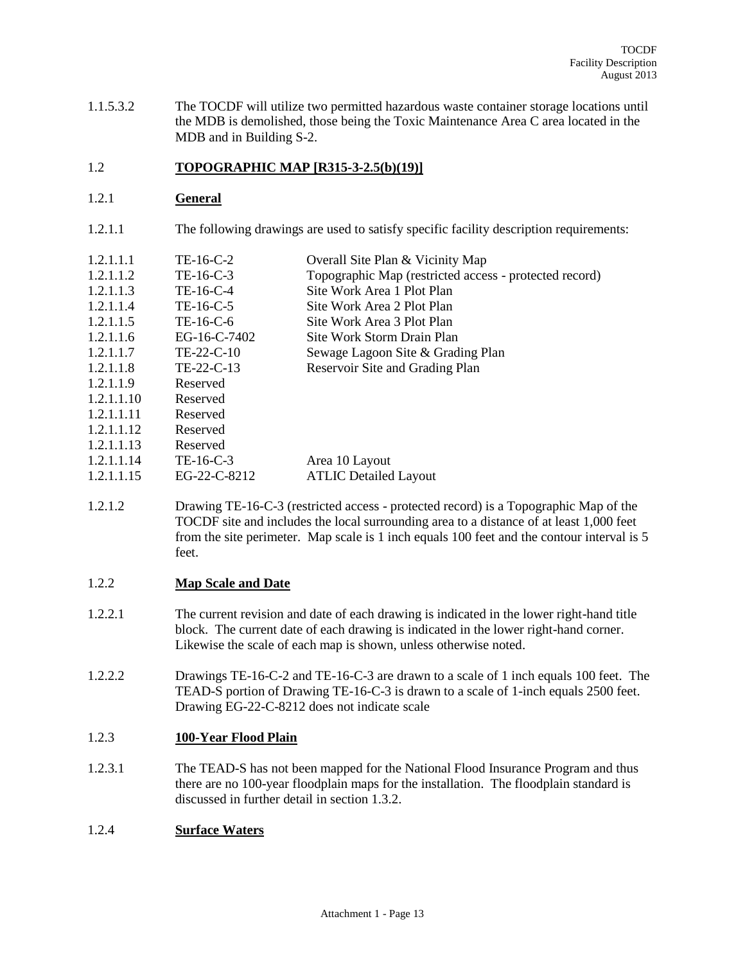1.1.5.3.2 The TOCDF will utilize two permitted hazardous waste container storage locations until the MDB is demolished, those being the Toxic Maintenance Area C area located in the MDB and in Building S-2.

## 1.2 **TOPOGRAPHIC MAP [R315-3-2.5(b)(19)]**

#### 1.2.1 **General**

1.2.1.1 The following drawings are used to satisfy specific facility description requirements:

| 1.2.1.1.1 | TE-16-C-2 | Overall Site Plan & Vicinity Map |  |
|-----------|-----------|----------------------------------|--|
|-----------|-----------|----------------------------------|--|

- 1.2.1.1.2 TE-16-C-3 Topographic Map (restricted access protected record)
- 1.2.1.1.3 TE-16-C-4 Site Work Area 1 Plot Plan
- 1.2.1.1.4 TE-16-C-5 Site Work Area 2 Plot Plan 1.2.1.1.5 TE-16-C-6 Site Work Area 3 Plot Plan
- 
- 1.2.1.1.6 EG-16-C-7402 Site Work Storm Drain Plan<br>1.2.1.1.7 TE-22-C-10 Sewage Lagoon Site & Grad 1.2.1.1.7 TE-22-C-10 Sewage Lagoon Site & Grading Plan
- 1.2.1.1.8 TE-22-C-13 Reservoir Site and Grading Plan
- 1.2.1.1.9 Reserved
- 1.2.1.1.10 Reserved
- 1.2.1.1.11 Reserved
- 1.2.1.1.12 Reserved
- 1.2.1.1.13 Reserved
- 1.2.1.1.14 TE-16-C-3 Area 10 Layout
- 1.2.1.1.15 EG-22-C-8212 ATLIC Detailed Layout
- 1.2.1.2 Drawing TE-16-C-3 (restricted access protected record) is a Topographic Map of the TOCDF site and includes the local surrounding area to a distance of at least 1,000 feet from the site perimeter. Map scale is 1 inch equals 100 feet and the contour interval is 5 feet.

## 1.2.2 **Map Scale and Date**

- 1.2.2.1 The current revision and date of each drawing is indicated in the lower right-hand title block. The current date of each drawing is indicated in the lower right-hand corner. Likewise the scale of each map is shown, unless otherwise noted.
- 1.2.2.2 Drawings TE-16-C-2 and TE-16-C-3 are drawn to a scale of 1 inch equals 100 feet. The TEAD-S portion of Drawing TE-16-C-3 is drawn to a scale of 1-inch equals 2500 feet. Drawing EG-22-C-8212 does not indicate scale

## 1.2.3 **100-Year Flood Plain**

1.2.3.1 The TEAD-S has not been mapped for the National Flood Insurance Program and thus there are no 100-year floodplain maps for the installation. The floodplain standard is discussed in further detail in section 1.3.2.

## 1.2.4 **Surface Waters**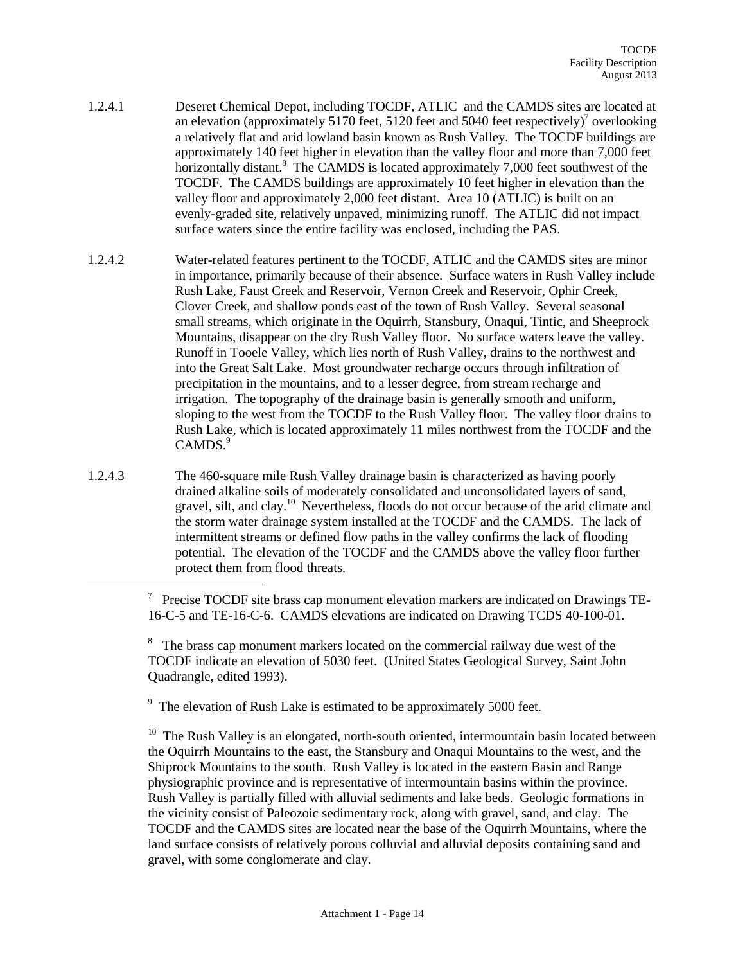- 1.2.4.1 Deseret Chemical Depot, including TOCDF, ATLIC and the CAMDS sites are located at an elevation (approximately 5170 feet, 5120 feet and 5040 feet respectively)<sup>7</sup> overlooking a relatively flat and arid lowland basin known as Rush Valley. The TOCDF buildings are approximately 140 feet higher in elevation than the valley floor and more than 7,000 feet horizontally distant.<sup>8</sup> The CAMDS is located approximately 7,000 feet southwest of the TOCDF. The CAMDS buildings are approximately 10 feet higher in elevation than the valley floor and approximately 2,000 feet distant. Area 10 (ATLIC) is built on an evenly-graded site, relatively unpaved, minimizing runoff. The ATLIC did not impact surface waters since the entire facility was enclosed, including the PAS.
- 1.2.4.2 Water-related features pertinent to the TOCDF, ATLIC and the CAMDS sites are minor in importance, primarily because of their absence. Surface waters in Rush Valley include Rush Lake, Faust Creek and Reservoir, Vernon Creek and Reservoir, Ophir Creek, Clover Creek, and shallow ponds east of the town of Rush Valley. Several seasonal small streams, which originate in the Oquirrh, Stansbury, Onaqui, Tintic, and Sheeprock Mountains, disappear on the dry Rush Valley floor. No surface waters leave the valley. Runoff in Tooele Valley, which lies north of Rush Valley, drains to the northwest and into the Great Salt Lake. Most groundwater recharge occurs through infiltration of precipitation in the mountains, and to a lesser degree, from stream recharge and irrigation. The topography of the drainage basin is generally smooth and uniform, sloping to the west from the TOCDF to the Rush Valley floor. The valley floor drains to Rush Lake, which is located approximately 11 miles northwest from the TOCDF and the CAMDS.<sup>9</sup>
- 1.2.4.3 The 460-square mile Rush Valley drainage basin is characterized as having poorly drained alkaline soils of moderately consolidated and unconsolidated layers of sand, gravel, silt, and clay.<sup>10</sup> Nevertheless, floods do not occur because of the arid climate and the storm water drainage system installed at the TOCDF and the CAMDS. The lack of intermittent streams or defined flow paths in the valley confirms the lack of flooding potential. The elevation of the TOCDF and the CAMDS above the valley floor further protect them from flood threats.

<sup>9</sup> The elevation of Rush Lake is estimated to be approximately 5000 feet.

 $\overline{a}$ 

<sup>10</sup> The Rush Valley is an elongated, north-south oriented, intermountain basin located between the Oquirrh Mountains to the east, the Stansbury and Onaqui Mountains to the west, and the Shiprock Mountains to the south. Rush Valley is located in the eastern Basin and Range physiographic province and is representative of intermountain basins within the province. Rush Valley is partially filled with alluvial sediments and lake beds. Geologic formations in the vicinity consist of Paleozoic sedimentary rock, along with gravel, sand, and clay. The TOCDF and the CAMDS sites are located near the base of the Oquirrh Mountains, where the land surface consists of relatively porous colluvial and alluvial deposits containing sand and gravel, with some conglomerate and clay.

 $7$  Precise TOCDF site brass cap monument elevation markers are indicated on Drawings TE-16-C-5 and TE-16-C-6. CAMDS elevations are indicated on Drawing TCDS 40-100-01.

<sup>&</sup>lt;sup>8</sup> The brass cap monument markers located on the commercial railway due west of the TOCDF indicate an elevation of 5030 feet. (United States Geological Survey, Saint John Quadrangle, edited 1993).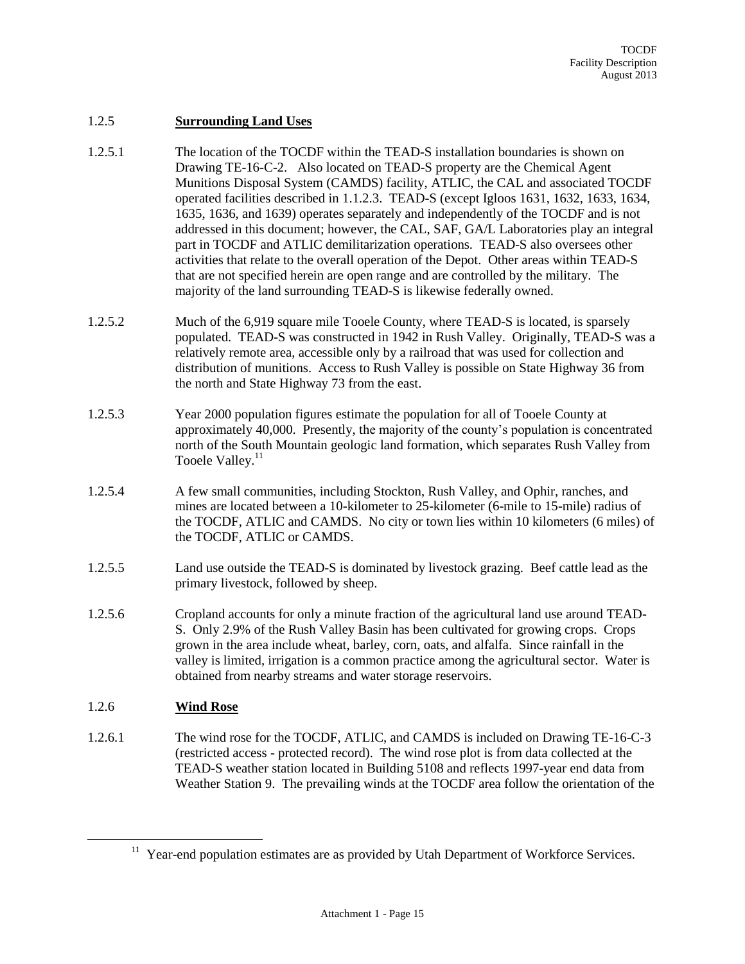#### 1.2.5 **Surrounding Land Uses**

- 1.2.5.1 The location of the TOCDF within the TEAD-S installation boundaries is shown on Drawing TE-16-C-2. Also located on TEAD-S property are the Chemical Agent Munitions Disposal System (CAMDS) facility, ATLIC, the CAL and associated TOCDF operated facilities described in 1.1.2.3. TEAD-S (except Igloos 1631, 1632, 1633, 1634, 1635, 1636, and 1639) operates separately and independently of the TOCDF and is not addressed in this document; however, the CAL, SAF, GA/L Laboratories play an integral part in TOCDF and ATLIC demilitarization operations. TEAD-S also oversees other activities that relate to the overall operation of the Depot. Other areas within TEAD-S that are not specified herein are open range and are controlled by the military. The majority of the land surrounding TEAD-S is likewise federally owned.
- 1.2.5.2 Much of the 6,919 square mile Tooele County, where TEAD-S is located, is sparsely populated. TEAD-S was constructed in 1942 in Rush Valley. Originally, TEAD-S was a relatively remote area, accessible only by a railroad that was used for collection and distribution of munitions. Access to Rush Valley is possible on State Highway 36 from the north and State Highway 73 from the east.
- 1.2.5.3 Year 2000 population figures estimate the population for all of Tooele County at approximately 40,000. Presently, the majority of the county's population is concentrated north of the South Mountain geologic land formation, which separates Rush Valley from Tooele Valley.<sup>11</sup>
- 1.2.5.4 A few small communities, including Stockton, Rush Valley, and Ophir, ranches, and mines are located between a 10-kilometer to 25-kilometer (6-mile to 15-mile) radius of the TOCDF, ATLIC and CAMDS. No city or town lies within 10 kilometers (6 miles) of the TOCDF, ATLIC or CAMDS.
- 1.2.5.5 Land use outside the TEAD-S is dominated by livestock grazing. Beef cattle lead as the primary livestock, followed by sheep.
- 1.2.5.6 Cropland accounts for only a minute fraction of the agricultural land use around TEAD-S. Only 2.9% of the Rush Valley Basin has been cultivated for growing crops. Crops grown in the area include wheat, barley, corn, oats, and alfalfa. Since rainfall in the valley is limited, irrigation is a common practice among the agricultural sector. Water is obtained from nearby streams and water storage reservoirs.

## 1.2.6 **Wind Rose**

 $\overline{a}$ 

1.2.6.1 The wind rose for the TOCDF, ATLIC, and CAMDS is included on Drawing TE-16-C-3 (restricted access - protected record). The wind rose plot is from data collected at the TEAD-S weather station located in Building 5108 and reflects 1997-year end data from Weather Station 9. The prevailing winds at the TOCDF area follow the orientation of the

<sup>&</sup>lt;sup>11</sup> Year-end population estimates are as provided by Utah Department of Workforce Services.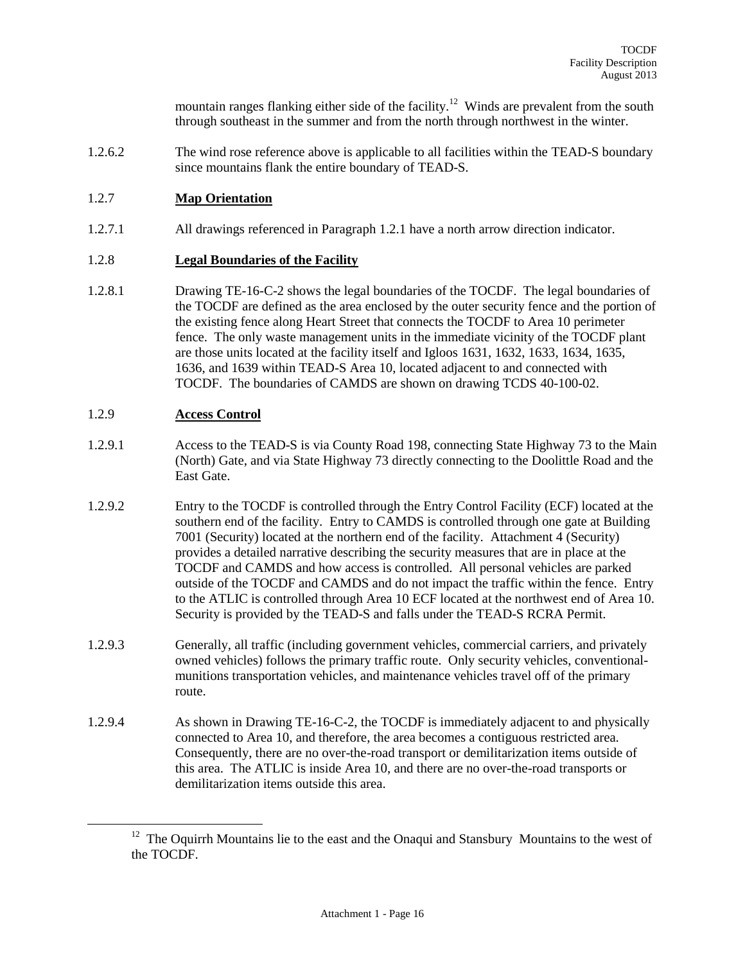mountain ranges flanking either side of the facility.<sup>12</sup> Winds are prevalent from the south through southeast in the summer and from the north through northwest in the winter.

1.2.6.2 The wind rose reference above is applicable to all facilities within the TEAD-S boundary since mountains flank the entire boundary of TEAD-S.

## 1.2.7 **Map Orientation**

1.2.7.1 All drawings referenced in Paragraph 1.2.1 have a north arrow direction indicator.

#### 1.2.8 **Legal Boundaries of the Facility**

1.2.8.1 Drawing TE-16-C-2 shows the legal boundaries of the TOCDF. The legal boundaries of the TOCDF are defined as the area enclosed by the outer security fence and the portion of the existing fence along Heart Street that connects the TOCDF to Area 10 perimeter fence. The only waste management units in the immediate vicinity of the TOCDF plant are those units located at the facility itself and Igloos 1631, 1632, 1633, 1634, 1635, 1636, and 1639 within TEAD-S Area 10, located adjacent to and connected with TOCDF. The boundaries of CAMDS are shown on drawing TCDS 40-100-02.

#### 1.2.9 **Access Control**

- 1.2.9.1 Access to the TEAD-S is via County Road 198, connecting State Highway 73 to the Main (North) Gate, and via State Highway 73 directly connecting to the Doolittle Road and the East Gate.
- 1.2.9.2 Entry to the TOCDF is controlled through the Entry Control Facility (ECF) located at the southern end of the facility. Entry to CAMDS is controlled through one gate at Building 7001 (Security) located at the northern end of the facility. Attachment 4 (Security) provides a detailed narrative describing the security measures that are in place at the TOCDF and CAMDS and how access is controlled. All personal vehicles are parked outside of the TOCDF and CAMDS and do not impact the traffic within the fence. Entry to the ATLIC is controlled through Area 10 ECF located at the northwest end of Area 10. Security is provided by the TEAD-S and falls under the TEAD-S RCRA Permit.
- 1.2.9.3 Generally, all traffic (including government vehicles, commercial carriers, and privately owned vehicles) follows the primary traffic route. Only security vehicles, conventionalmunitions transportation vehicles, and maintenance vehicles travel off of the primary route.
- 1.2.9.4 As shown in Drawing TE-16-C-2, the TOCDF is immediately adjacent to and physically connected to Area 10, and therefore, the area becomes a contiguous restricted area. Consequently, there are no over-the-road transport or demilitarization items outside of this area. The ATLIC is inside Area 10, and there are no over-the-road transports or demilitarization items outside this area.

 $12$  The Oquirrh Mountains lie to the east and the Onaqui and Stansbury Mountains to the west of the TOCDF.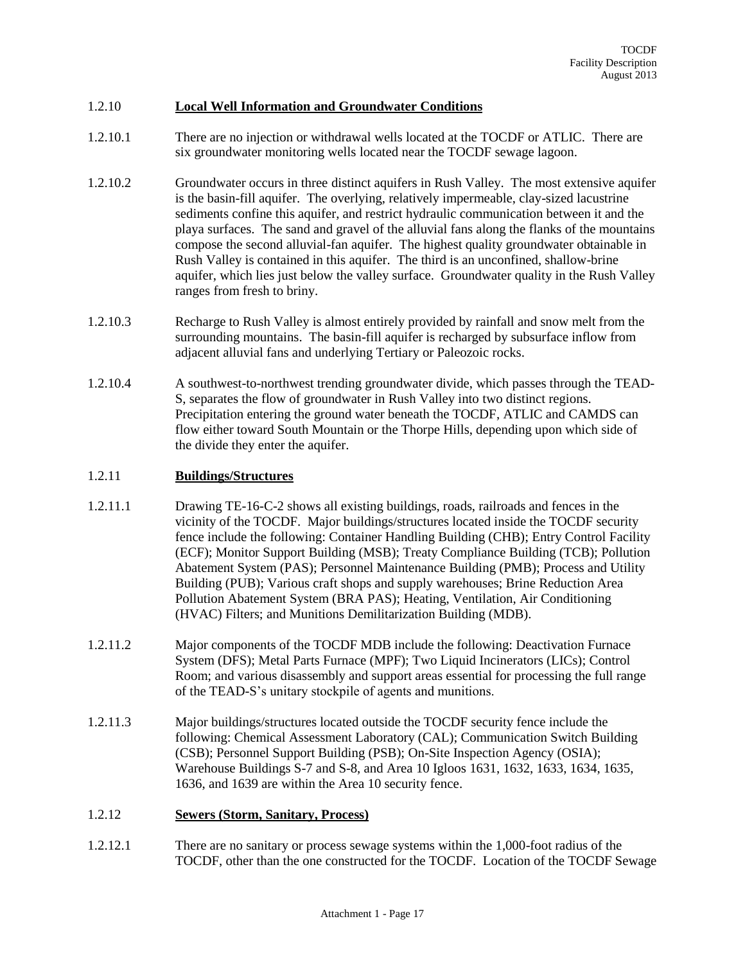#### 1.2.10 **Local Well Information and Groundwater Conditions**

- 1.2.10.1 There are no injection or withdrawal wells located at the TOCDF or ATLIC. There are six groundwater monitoring wells located near the TOCDF sewage lagoon.
- 1.2.10.2 Groundwater occurs in three distinct aquifers in Rush Valley. The most extensive aquifer is the basin-fill aquifer. The overlying, relatively impermeable, clay-sized lacustrine sediments confine this aquifer, and restrict hydraulic communication between it and the playa surfaces. The sand and gravel of the alluvial fans along the flanks of the mountains compose the second alluvial-fan aquifer. The highest quality groundwater obtainable in Rush Valley is contained in this aquifer. The third is an unconfined, shallow-brine aquifer, which lies just below the valley surface. Groundwater quality in the Rush Valley ranges from fresh to briny.
- 1.2.10.3 Recharge to Rush Valley is almost entirely provided by rainfall and snow melt from the surrounding mountains. The basin-fill aquifer is recharged by subsurface inflow from adjacent alluvial fans and underlying Tertiary or Paleozoic rocks.
- 1.2.10.4 A southwest-to-northwest trending groundwater divide, which passes through the TEAD-S, separates the flow of groundwater in Rush Valley into two distinct regions. Precipitation entering the ground water beneath the TOCDF, ATLIC and CAMDS can flow either toward South Mountain or the Thorpe Hills, depending upon which side of the divide they enter the aquifer.

#### 1.2.11 **Buildings/Structures**

- 1.2.11.1 Drawing TE-16-C-2 shows all existing buildings, roads, railroads and fences in the vicinity of the TOCDF. Major buildings/structures located inside the TOCDF security fence include the following: Container Handling Building (CHB); Entry Control Facility (ECF); Monitor Support Building (MSB); Treaty Compliance Building (TCB); Pollution Abatement System (PAS); Personnel Maintenance Building (PMB); Process and Utility Building (PUB); Various craft shops and supply warehouses; Brine Reduction Area Pollution Abatement System (BRA PAS); Heating, Ventilation, Air Conditioning (HVAC) Filters; and Munitions Demilitarization Building (MDB).
- 1.2.11.2 Major components of the TOCDF MDB include the following: Deactivation Furnace System (DFS); Metal Parts Furnace (MPF); Two Liquid Incinerators (LICs); Control Room; and various disassembly and support areas essential for processing the full range of the TEAD-S's unitary stockpile of agents and munitions.
- 1.2.11.3 Major buildings/structures located outside the TOCDF security fence include the following: Chemical Assessment Laboratory (CAL); Communication Switch Building (CSB); Personnel Support Building (PSB); On-Site Inspection Agency (OSIA); Warehouse Buildings S-7 and S-8, and Area 10 Igloos 1631, 1632, 1633, 1634, 1635, 1636, and 1639 are within the Area 10 security fence.

#### 1.2.12 **Sewers (Storm, Sanitary, Process)**

1.2.12.1 There are no sanitary or process sewage systems within the 1,000-foot radius of the TOCDF, other than the one constructed for the TOCDF. Location of the TOCDF Sewage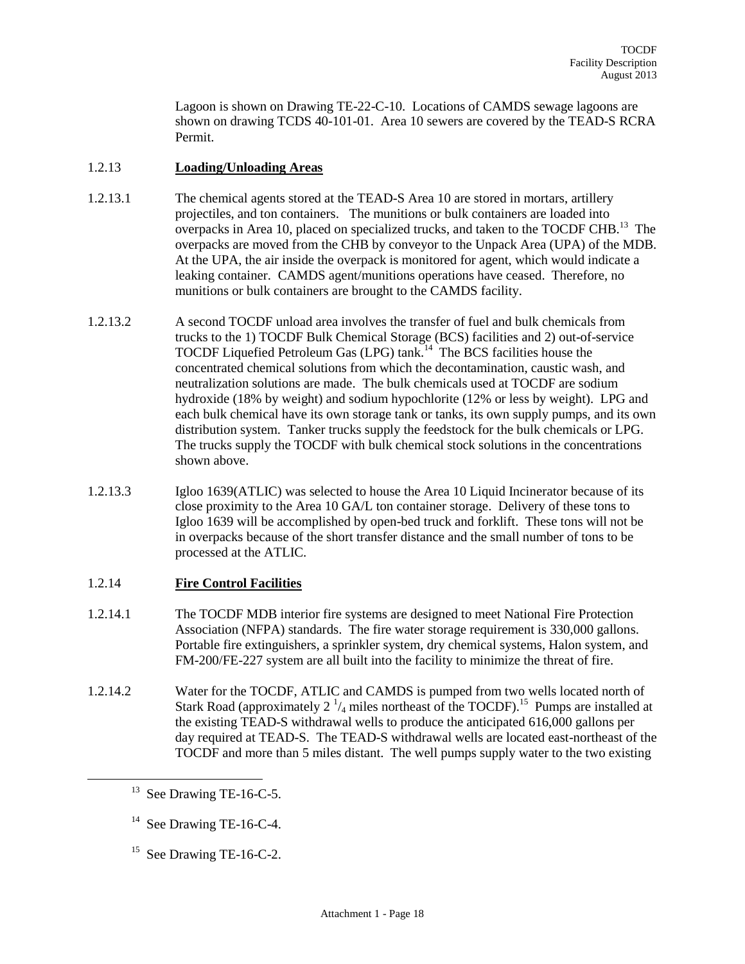Lagoon is shown on Drawing TE-22-C-10. Locations of CAMDS sewage lagoons are shown on drawing TCDS 40-101-01. Area 10 sewers are covered by the TEAD-S RCRA Permit.

## 1.2.13 **Loading/Unloading Areas**

- 1.2.13.1 The chemical agents stored at the TEAD-S Area 10 are stored in mortars, artillery projectiles, and ton containers. The munitions or bulk containers are loaded into overpacks in Area 10, placed on specialized trucks, and taken to the TOCDF CHB.<sup>13</sup> The overpacks are moved from the CHB by conveyor to the Unpack Area (UPA) of the MDB. At the UPA, the air inside the overpack is monitored for agent, which would indicate a leaking container. CAMDS agent/munitions operations have ceased. Therefore, no munitions or bulk containers are brought to the CAMDS facility.
- 1.2.13.2 A second TOCDF unload area involves the transfer of fuel and bulk chemicals from trucks to the 1) TOCDF Bulk Chemical Storage (BCS) facilities and 2) out-of-service TOCDF Liquefied Petroleum Gas (LPG) tank.<sup>14</sup> The BCS facilities house the concentrated chemical solutions from which the decontamination, caustic wash, and neutralization solutions are made. The bulk chemicals used at TOCDF are sodium hydroxide (18% by weight) and sodium hypochlorite (12% or less by weight). LPG and each bulk chemical have its own storage tank or tanks, its own supply pumps, and its own distribution system. Tanker trucks supply the feedstock for the bulk chemicals or LPG. The trucks supply the TOCDF with bulk chemical stock solutions in the concentrations shown above.
- 1.2.13.3 Igloo 1639(ATLIC) was selected to house the Area 10 Liquid Incinerator because of its close proximity to the Area 10 GA/L ton container storage. Delivery of these tons to Igloo 1639 will be accomplished by open-bed truck and forklift. These tons will not be in overpacks because of the short transfer distance and the small number of tons to be processed at the ATLIC.

## 1.2.14 **Fire Control Facilities**

- 1.2.14.1 The TOCDF MDB interior fire systems are designed to meet National Fire Protection Association (NFPA) standards. The fire water storage requirement is 330,000 gallons. Portable fire extinguishers, a sprinkler system, dry chemical systems, Halon system, and FM-200/FE-227 system are all built into the facility to minimize the threat of fire.
- 1.2.14.2 Water for the TOCDF, ATLIC and CAMDS is pumped from two wells located north of Stark Road (approximately 2  $\frac{1}{4}$  miles northeast of the TOCDF).<sup>15</sup> Pumps are installed at the existing TEAD-S withdrawal wells to produce the anticipated 616,000 gallons per day required at TEAD-S. The TEAD-S withdrawal wells are located east-northeast of the TOCDF and more than 5 miles distant. The well pumps supply water to the two existing

- <sup>14</sup> See Drawing TE-16-C-4.
- <sup>15</sup> See Drawing TE-16-C-2.

 $13$  See Drawing TE-16-C-5.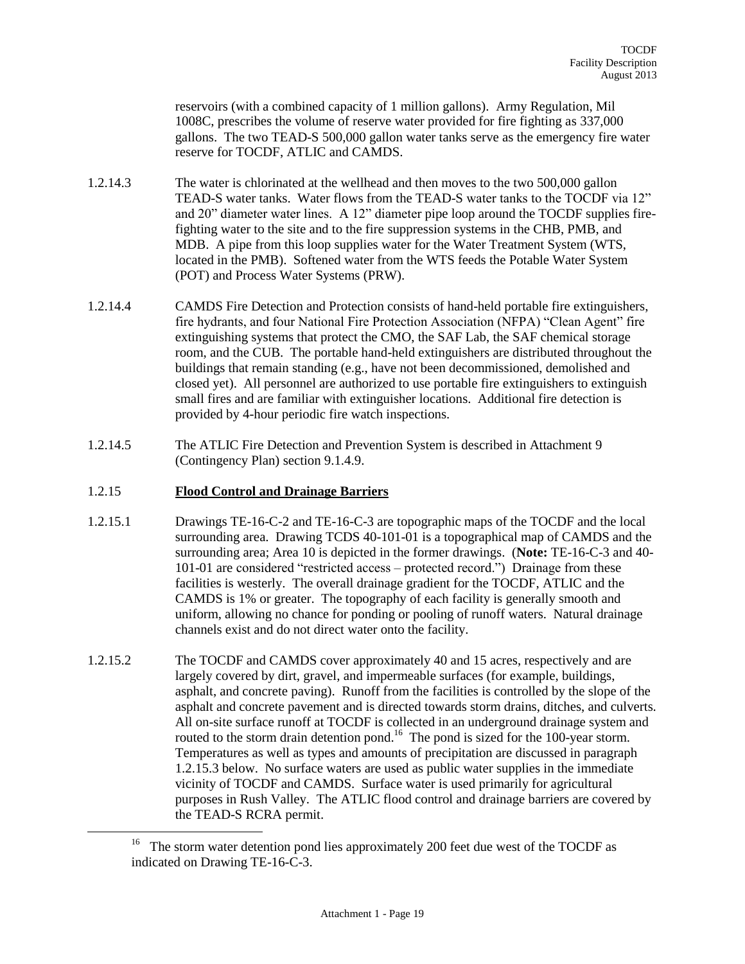reservoirs (with a combined capacity of 1 million gallons). Army Regulation, Mil 1008C, prescribes the volume of reserve water provided for fire fighting as 337,000 gallons. The two TEAD-S 500,000 gallon water tanks serve as the emergency fire water reserve for TOCDF, ATLIC and CAMDS.

- 1.2.14.3 The water is chlorinated at the wellhead and then moves to the two 500,000 gallon TEAD-S water tanks. Water flows from the TEAD-S water tanks to the TOCDF via 12" and 20" diameter water lines. A 12" diameter pipe loop around the TOCDF supplies firefighting water to the site and to the fire suppression systems in the CHB, PMB, and MDB. A pipe from this loop supplies water for the Water Treatment System (WTS, located in the PMB). Softened water from the WTS feeds the Potable Water System (POT) and Process Water Systems (PRW).
- 1.2.14.4 CAMDS Fire Detection and Protection consists of hand-held portable fire extinguishers, fire hydrants, and four National Fire Protection Association (NFPA) "Clean Agent" fire extinguishing systems that protect the CMO, the SAF Lab, the SAF chemical storage room, and the CUB. The portable hand-held extinguishers are distributed throughout the buildings that remain standing (e.g., have not been decommissioned, demolished and closed yet). All personnel are authorized to use portable fire extinguishers to extinguish small fires and are familiar with extinguisher locations. Additional fire detection is provided by 4-hour periodic fire watch inspections.
- 1.2.14.5 The ATLIC Fire Detection and Prevention System is described in Attachment 9 (Contingency Plan) section 9.1.4.9.

#### 1.2.15 **Flood Control and Drainage Barriers**

- 1.2.15.1 Drawings TE-16-C-2 and TE-16-C-3 are topographic maps of the TOCDF and the local surrounding area. Drawing TCDS 40-101-01 is a topographical map of CAMDS and the surrounding area; Area 10 is depicted in the former drawings. (**Note:** TE-16-C-3 and 40- 101-01 are considered "restricted access – protected record.") Drainage from these facilities is westerly. The overall drainage gradient for the TOCDF, ATLIC and the CAMDS is 1% or greater. The topography of each facility is generally smooth and uniform, allowing no chance for ponding or pooling of runoff waters. Natural drainage channels exist and do not direct water onto the facility.
- 1.2.15.2 The TOCDF and CAMDS cover approximately 40 and 15 acres, respectively and are largely covered by dirt, gravel, and impermeable surfaces (for example, buildings, asphalt, and concrete paving). Runoff from the facilities is controlled by the slope of the asphalt and concrete pavement and is directed towards storm drains, ditches, and culverts. All on-site surface runoff at TOCDF is collected in an underground drainage system and routed to the storm drain detention pond.<sup>16</sup> The pond is sized for the 100-year storm. Temperatures as well as types and amounts of precipitation are discussed in paragraph 1.2.15.3 below. No surface waters are used as public water supplies in the immediate vicinity of TOCDF and CAMDS. Surface water is used primarily for agricultural purposes in Rush Valley. The ATLIC flood control and drainage barriers are covered by the TEAD-S RCRA permit.

<sup>&</sup>lt;sup>16</sup> The storm water detention pond lies approximately 200 feet due west of the TOCDF as indicated on Drawing TE-16-C-3.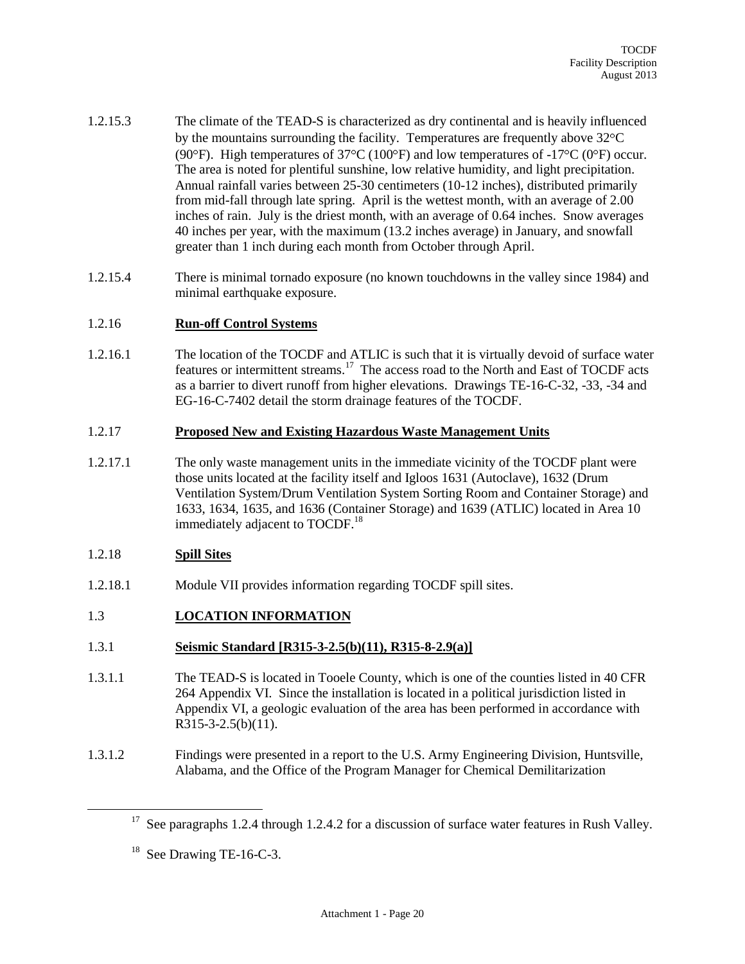- 1.2.15.3 The climate of the TEAD-S is characterized as dry continental and is heavily influenced by the mountains surrounding the facility. Temperatures are frequently above  $32^{\circ}C$ (90°F). High temperatures of 37°C (100°F) and low temperatures of -17°C (0°F) occur. The area is noted for plentiful sunshine, low relative humidity, and light precipitation. Annual rainfall varies between 25-30 centimeters (10-12 inches), distributed primarily from mid-fall through late spring. April is the wettest month, with an average of 2.00 inches of rain. July is the driest month, with an average of 0.64 inches. Snow averages 40 inches per year, with the maximum (13.2 inches average) in January, and snowfall greater than 1 inch during each month from October through April.
- 1.2.15.4 There is minimal tornado exposure (no known touchdowns in the valley since 1984) and minimal earthquake exposure.

#### 1.2.16 **Run-off Control Systems**

1.2.16.1 The location of the TOCDF and ATLIC is such that it is virtually devoid of surface water features or intermittent streams.<sup>17</sup> The access road to the North and East of TOCDF acts as a barrier to divert runoff from higher elevations. Drawings TE-16-C-32, -33, -34 and EG-16-C-7402 detail the storm drainage features of the TOCDF.

#### 1.2.17 **Proposed New and Existing Hazardous Waste Management Units**

1.2.17.1 The only waste management units in the immediate vicinity of the TOCDF plant were those units located at the facility itself and Igloos 1631 (Autoclave), 1632 (Drum Ventilation System/Drum Ventilation System Sorting Room and Container Storage) and 1633, 1634, 1635, and 1636 (Container Storage) and 1639 (ATLIC) located in Area 10 immediately adjacent to TOCDF.<sup>18</sup>

#### 1.2.18 **Spill Sites**

 $\overline{a}$ 

1.2.18.1 Module VII provides information regarding TOCDF spill sites.

## 1.3 **LOCATION INFORMATION**

#### 1.3.1 **Seismic Standard [R315-3-2.5(b)(11), R315-8-2.9(a)]**

- 1.3.1.1 The TEAD-S is located in Tooele County, which is one of the counties listed in 40 CFR 264 Appendix VI. Since the installation is located in a political jurisdiction listed in Appendix VI, a geologic evaluation of the area has been performed in accordance with R315-3-2.5(b)(11).
- 1.3.1.2 Findings were presented in a report to the U.S. Army Engineering Division, Huntsville, Alabama, and the Office of the Program Manager for Chemical Demilitarization

<sup>&</sup>lt;sup>17</sup> See paragraphs 1.2.4 through 1.2.4.2 for a discussion of surface water features in Rush Valley.

 $18$  See Drawing TE-16-C-3.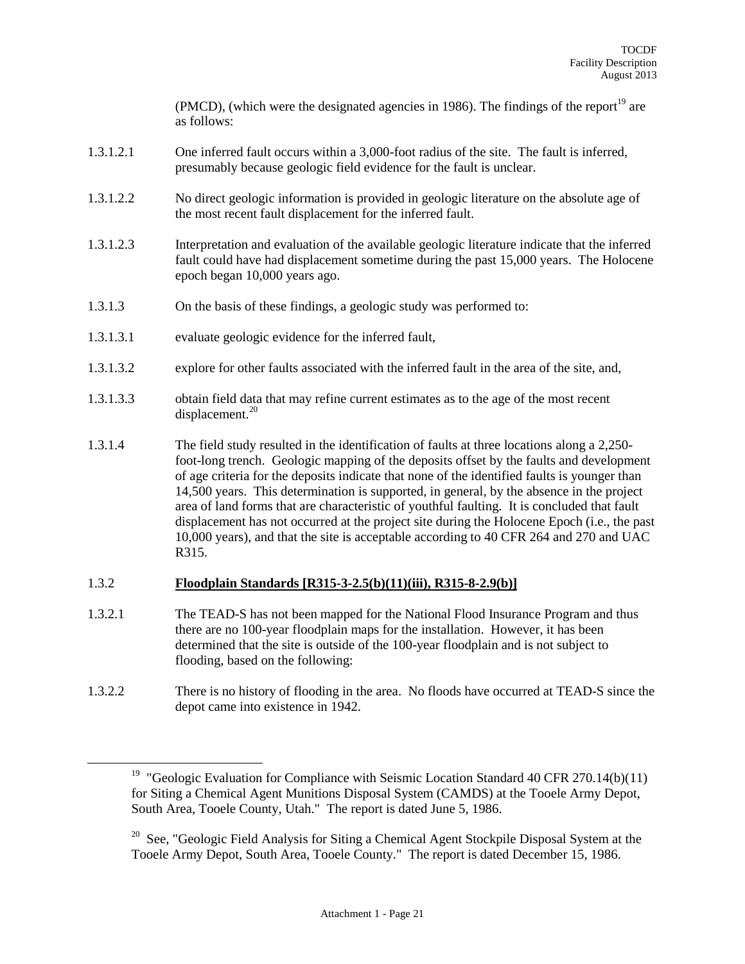(PMCD), (which were the designated agencies in 1986). The findings of the report<sup>19</sup> are as follows:

- 1.3.1.2.1 One inferred fault occurs within a 3,000-foot radius of the site. The fault is inferred, presumably because geologic field evidence for the fault is unclear.
- 1.3.1.2.2 No direct geologic information is provided in geologic literature on the absolute age of the most recent fault displacement for the inferred fault.
- 1.3.1.2.3 Interpretation and evaluation of the available geologic literature indicate that the inferred fault could have had displacement sometime during the past 15,000 years. The Holocene epoch began 10,000 years ago.
- 1.3.1.3 On the basis of these findings, a geologic study was performed to:
- 1.3.1.3.1 evaluate geologic evidence for the inferred fault,
- 1.3.1.3.2 explore for other faults associated with the inferred fault in the area of the site, and,
- 1.3.1.3.3 obtain field data that may refine current estimates as to the age of the most recent displacement. $20$
- 1.3.1.4 The field study resulted in the identification of faults at three locations along a 2,250 foot-long trench. Geologic mapping of the deposits offset by the faults and development of age criteria for the deposits indicate that none of the identified faults is younger than 14,500 years. This determination is supported, in general, by the absence in the project area of land forms that are characteristic of youthful faulting. It is concluded that fault displacement has not occurred at the project site during the Holocene Epoch (i.e., the past 10,000 years), and that the site is acceptable according to 40 CFR 264 and 270 and UAC R315.

#### 1.3.2 **Floodplain Standards [R315-3-2.5(b)(11)(iii), R315-8-2.9(b)]**

- 1.3.2.1 The TEAD-S has not been mapped for the National Flood Insurance Program and thus there are no 100-year floodplain maps for the installation. However, it has been determined that the site is outside of the 100-year floodplain and is not subject to flooding, based on the following:
- 1.3.2.2 There is no history of flooding in the area. No floods have occurred at TEAD-S since the depot came into existence in 1942.

<sup>&</sup>lt;sup>19</sup> "Geologic Evaluation for Compliance with Seismic Location Standard 40 CFR 270.14(b)(11) for Siting a Chemical Agent Munitions Disposal System (CAMDS) at the Tooele Army Depot, South Area, Tooele County, Utah." The report is dated June 5, 1986.

<sup>&</sup>lt;sup>20</sup> See, "Geologic Field Analysis for Siting a Chemical Agent Stockpile Disposal System at the Tooele Army Depot, South Area, Tooele County." The report is dated December 15, 1986.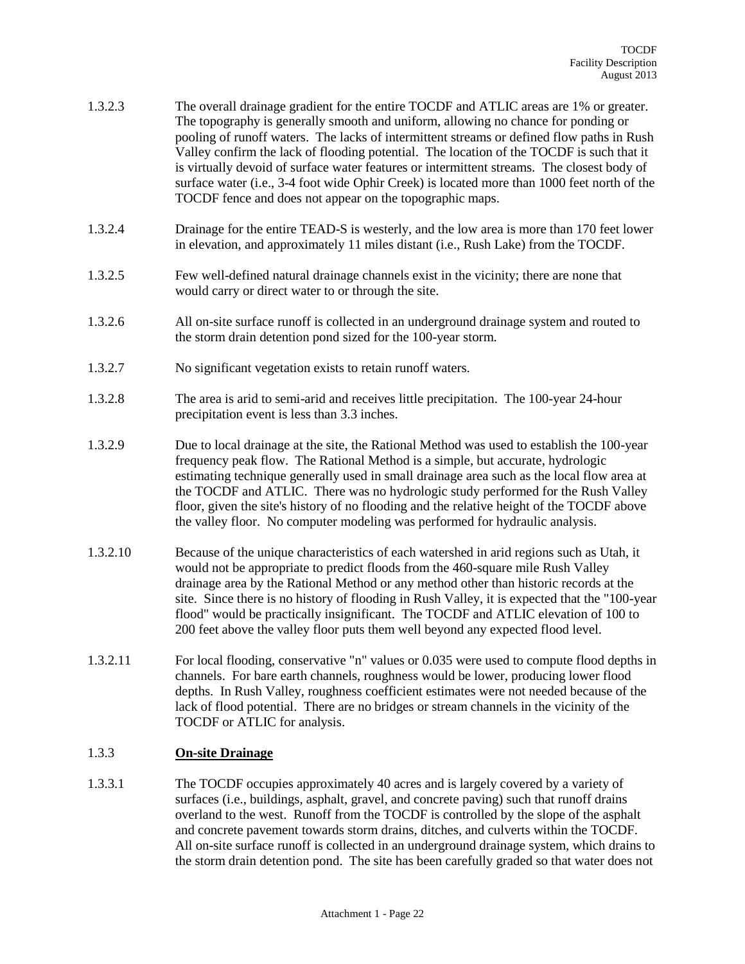- 1.3.2.3 The overall drainage gradient for the entire TOCDF and ATLIC areas are 1% or greater. The topography is generally smooth and uniform, allowing no chance for ponding or pooling of runoff waters. The lacks of intermittent streams or defined flow paths in Rush Valley confirm the lack of flooding potential. The location of the TOCDF is such that it is virtually devoid of surface water features or intermittent streams. The closest body of surface water (i.e., 3-4 foot wide Ophir Creek) is located more than 1000 feet north of the TOCDF fence and does not appear on the topographic maps.
- 1.3.2.4 Drainage for the entire TEAD-S is westerly, and the low area is more than 170 feet lower in elevation, and approximately 11 miles distant (i.e., Rush Lake) from the TOCDF.
- 1.3.2.5 Few well-defined natural drainage channels exist in the vicinity; there are none that would carry or direct water to or through the site.
- 1.3.2.6 All on-site surface runoff is collected in an underground drainage system and routed to the storm drain detention pond sized for the 100-year storm.
- 1.3.2.7 No significant vegetation exists to retain runoff waters.
- 1.3.2.8 The area is arid to semi-arid and receives little precipitation. The 100-year 24-hour precipitation event is less than 3.3 inches.
- 1.3.2.9 Due to local drainage at the site, the Rational Method was used to establish the 100-year frequency peak flow. The Rational Method is a simple, but accurate, hydrologic estimating technique generally used in small drainage area such as the local flow area at the TOCDF and ATLIC. There was no hydrologic study performed for the Rush Valley floor, given the site's history of no flooding and the relative height of the TOCDF above the valley floor. No computer modeling was performed for hydraulic analysis.
- 1.3.2.10 Because of the unique characteristics of each watershed in arid regions such as Utah, it would not be appropriate to predict floods from the 460-square mile Rush Valley drainage area by the Rational Method or any method other than historic records at the site. Since there is no history of flooding in Rush Valley, it is expected that the "100-year flood" would be practically insignificant. The TOCDF and ATLIC elevation of 100 to 200 feet above the valley floor puts them well beyond any expected flood level.
- 1.3.2.11 For local flooding, conservative "n" values or 0.035 were used to compute flood depths in channels. For bare earth channels, roughness would be lower, producing lower flood depths. In Rush Valley, roughness coefficient estimates were not needed because of the lack of flood potential. There are no bridges or stream channels in the vicinity of the TOCDF or ATLIC for analysis.

#### 1.3.3 **On-site Drainage**

1.3.3.1 The TOCDF occupies approximately 40 acres and is largely covered by a variety of surfaces (i.e., buildings, asphalt, gravel, and concrete paving) such that runoff drains overland to the west. Runoff from the TOCDF is controlled by the slope of the asphalt and concrete pavement towards storm drains, ditches, and culverts within the TOCDF. All on-site surface runoff is collected in an underground drainage system, which drains to the storm drain detention pond. The site has been carefully graded so that water does not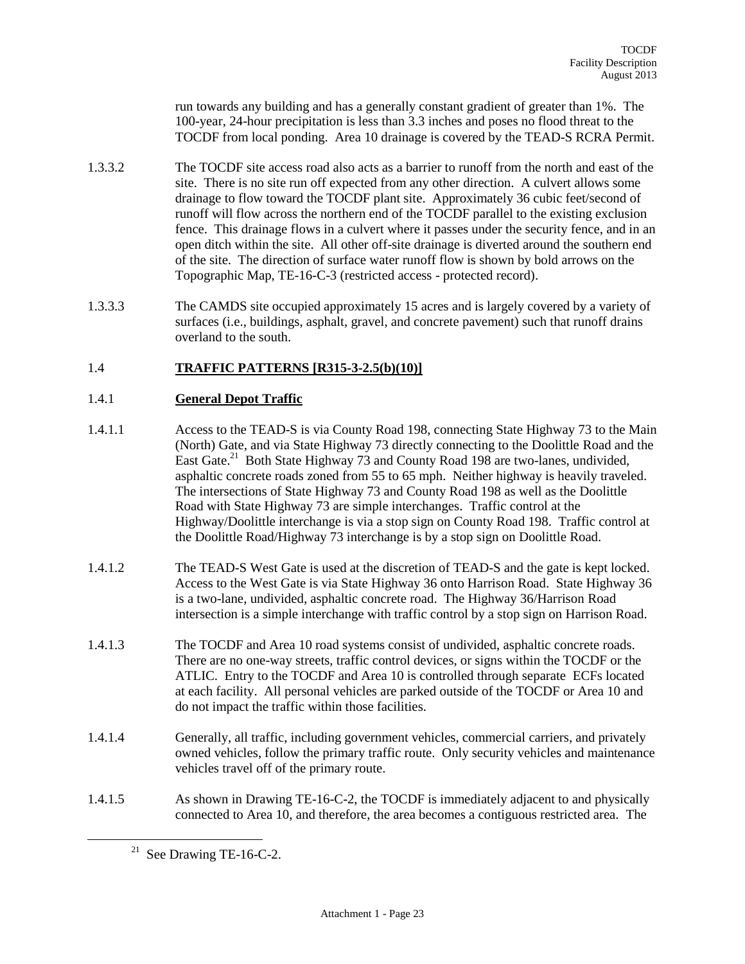run towards any building and has a generally constant gradient of greater than 1%. The 100-year, 24-hour precipitation is less than 3.3 inches and poses no flood threat to the TOCDF from local ponding. Area 10 drainage is covered by the TEAD-S RCRA Permit.

- 1.3.3.2 The TOCDF site access road also acts as a barrier to runoff from the north and east of the site. There is no site run off expected from any other direction. A culvert allows some drainage to flow toward the TOCDF plant site. Approximately 36 cubic feet/second of runoff will flow across the northern end of the TOCDF parallel to the existing exclusion fence. This drainage flows in a culvert where it passes under the security fence, and in an open ditch within the site. All other off-site drainage is diverted around the southern end of the site. The direction of surface water runoff flow is shown by bold arrows on the Topographic Map, TE-16-C-3 (restricted access - protected record).
- 1.3.3.3 The CAMDS site occupied approximately 15 acres and is largely covered by a variety of surfaces (i.e., buildings, asphalt, gravel, and concrete pavement) such that runoff drains overland to the south.

## 1.4 **TRAFFIC PATTERNS [R315-3-2.5(b)(10)]**

#### 1.4.1 **General Depot Traffic**

- 1.4.1.1 Access to the TEAD-S is via County Road 198, connecting State Highway 73 to the Main (North) Gate, and via State Highway 73 directly connecting to the Doolittle Road and the East Gate.<sup>21</sup> Both State Highway 73 and County Road 198 are two-lanes, undivided, asphaltic concrete roads zoned from 55 to 65 mph. Neither highway is heavily traveled. The intersections of State Highway 73 and County Road 198 as well as the Doolittle Road with State Highway 73 are simple interchanges. Traffic control at the Highway/Doolittle interchange is via a stop sign on County Road 198. Traffic control at the Doolittle Road/Highway 73 interchange is by a stop sign on Doolittle Road.
- 1.4.1.2 The TEAD-S West Gate is used at the discretion of TEAD-S and the gate is kept locked. Access to the West Gate is via State Highway 36 onto Harrison Road. State Highway 36 is a two-lane, undivided, asphaltic concrete road. The Highway 36/Harrison Road intersection is a simple interchange with traffic control by a stop sign on Harrison Road.
- 1.4.1.3 The TOCDF and Area 10 road systems consist of undivided, asphaltic concrete roads. There are no one-way streets, traffic control devices, or signs within the TOCDF or the ATLIC. Entry to the TOCDF and Area 10 is controlled through separate ECFs located at each facility. All personal vehicles are parked outside of the TOCDF or Area 10 and do not impact the traffic within those facilities.
- 1.4.1.4 Generally, all traffic, including government vehicles, commercial carriers, and privately owned vehicles, follow the primary traffic route. Only security vehicles and maintenance vehicles travel off of the primary route.
- 1.4.1.5 As shown in Drawing TE-16-C-2, the TOCDF is immediately adjacent to and physically connected to Area 10, and therefore, the area becomes a contiguous restricted area. The

 $21$  See Drawing TE-16-C-2.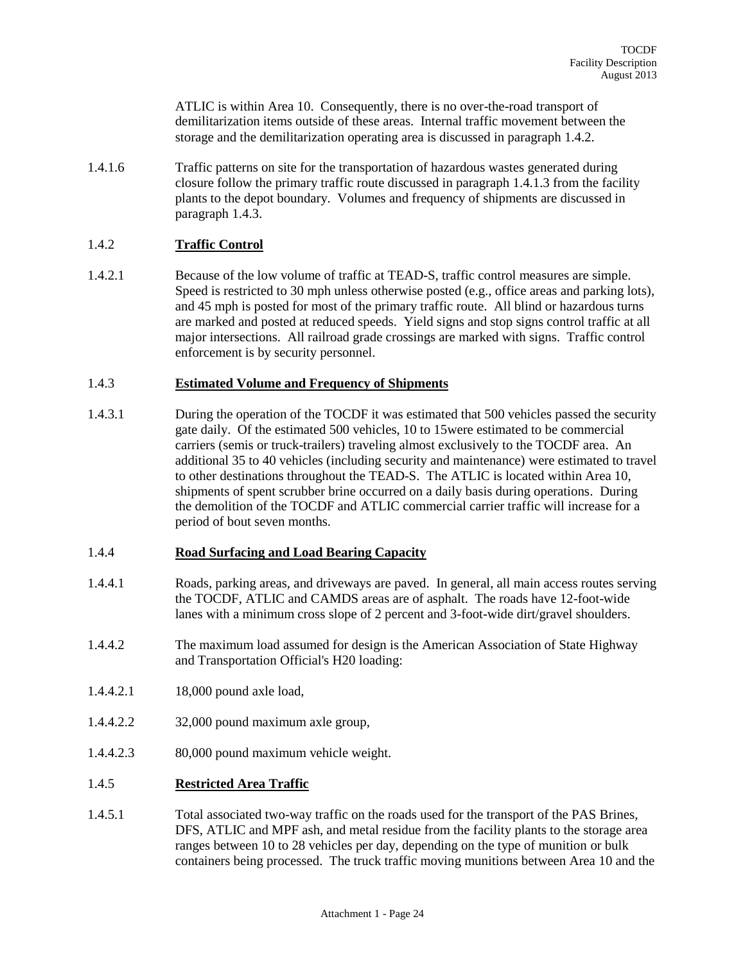ATLIC is within Area 10. Consequently, there is no over-the-road transport of demilitarization items outside of these areas. Internal traffic movement between the storage and the demilitarization operating area is discussed in paragraph 1.4.2.

1.4.1.6 Traffic patterns on site for the transportation of hazardous wastes generated during closure follow the primary traffic route discussed in paragraph 1.4.1.3 from the facility plants to the depot boundary. Volumes and frequency of shipments are discussed in paragraph 1.4.3.

## 1.4.2 **Traffic Control**

1.4.2.1 Because of the low volume of traffic at TEAD-S, traffic control measures are simple. Speed is restricted to 30 mph unless otherwise posted (e.g., office areas and parking lots), and 45 mph is posted for most of the primary traffic route. All blind or hazardous turns are marked and posted at reduced speeds. Yield signs and stop signs control traffic at all major intersections. All railroad grade crossings are marked with signs. Traffic control enforcement is by security personnel.

#### 1.4.3 **Estimated Volume and Frequency of Shipments**

1.4.3.1 During the operation of the TOCDF it was estimated that 500 vehicles passed the security gate daily. Of the estimated 500 vehicles, 10 to 15were estimated to be commercial carriers (semis or truck-trailers) traveling almost exclusively to the TOCDF area. An additional 35 to 40 vehicles (including security and maintenance) were estimated to travel to other destinations throughout the TEAD-S. The ATLIC is located within Area 10, shipments of spent scrubber brine occurred on a daily basis during operations. During the demolition of the TOCDF and ATLIC commercial carrier traffic will increase for a period of bout seven months.

#### 1.4.4 **Road Surfacing and Load Bearing Capacity**

- 1.4.4.1 Roads, parking areas, and driveways are paved. In general, all main access routes serving the TOCDF, ATLIC and CAMDS areas are of asphalt. The roads have 12-foot-wide lanes with a minimum cross slope of 2 percent and 3-foot-wide dirt/gravel shoulders.
- 1.4.4.2 The maximum load assumed for design is the American Association of State Highway and Transportation Official's H20 loading:
- 1.4.4.2.1 18,000 pound axle load,
- 1.4.4.2.2 32,000 pound maximum axle group,
- 1.4.4.2.3 80,000 pound maximum vehicle weight.

#### 1.4.5 **Restricted Area Traffic**

1.4.5.1 Total associated two-way traffic on the roads used for the transport of the PAS Brines, DFS, ATLIC and MPF ash, and metal residue from the facility plants to the storage area ranges between 10 to 28 vehicles per day, depending on the type of munition or bulk containers being processed. The truck traffic moving munitions between Area 10 and the